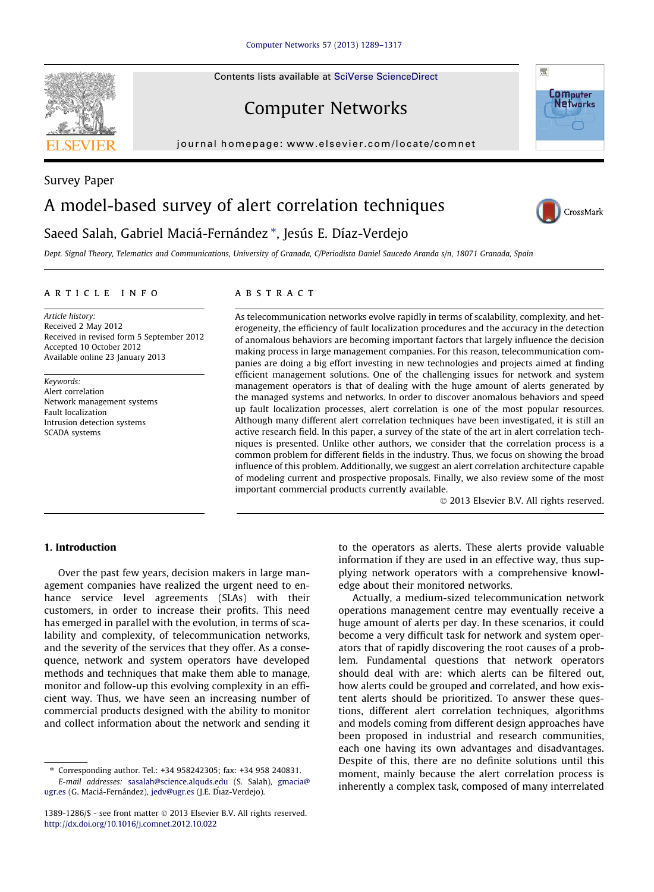Contents lists available at [SciVerse ScienceDirect](http://www.sciencedirect.com/science/journal/13891286)

# Computer Networks

journal homepage: [www.elsevier.com/locate/comnet](http://www.elsevier.com/locate/comnet)

# Survey Paper A model-based survey of alert correlation techniques

# Saeed Salah, Gabriel Maciá-Fernández \*, Jesús E. Díaz-Verdejo

Dept. Signal Theory, Telematics and Communications, University of Granada, C/Periodista Daniel Saucedo Aranda s/n, 18071 Granada, Spain

# article info

Article history: Received 2 May 2012 Received in revised form 5 September 2012 Accepted 10 October 2012 Available online 23 January 2013

Keywords: Alert correlation Network management systems Fault localization Intrusion detection systems SCADA systems

# ABSTRACT

As telecommunication networks evolve rapidly in terms of scalability, complexity, and heterogeneity, the efficiency of fault localization procedures and the accuracy in the detection of anomalous behaviors are becoming important factors that largely influence the decision making process in large management companies. For this reason, telecommunication companies are doing a big effort investing in new technologies and projects aimed at finding efficient management solutions. One of the challenging issues for network and system management operators is that of dealing with the huge amount of alerts generated by the managed systems and networks. In order to discover anomalous behaviors and speed up fault localization processes, alert correlation is one of the most popular resources. Although many different alert correlation techniques have been investigated, it is still an active research field. In this paper, a survey of the state of the art in alert correlation techniques is presented. Unlike other authors, we consider that the correlation process is a common problem for different fields in the industry. Thus, we focus on showing the broad influence of this problem. Additionally, we suggest an alert correlation architecture capable of modeling current and prospective proposals. Finally, we also review some of the most important commercial products currently available.

- 2013 Elsevier B.V. All rights reserved.

# 1. Introduction

Over the past few years, decision makers in large management companies have realized the urgent need to enhance service level agreements (SLAs) with their customers, in order to increase their profits. This need has emerged in parallel with the evolution, in terms of scalability and complexity, of telecommunication networks, and the severity of the services that they offer. As a consequence, network and system operators have developed methods and techniques that make them able to manage, monitor and follow-up this evolving complexity in an efficient way. Thus, we have seen an increasing number of commercial products designed with the ability to monitor and collect information about the network and sending it

⇑ Corresponding author. Tel.: +34 958242305; fax: +34 958 240831. E-mail addresses: [sasalah@science.alquds.edu](mailto:sasalah@science.alquds.edu) (S. Salah), [gmacia@](mailto:gmacia@ugr.es) [ugr.es](mailto:gmacia@ugr.es) (G. Maciá-Fernández), [jedv@ugr.es](mailto:jedv@ugr.es) (J.E. Diaz-Verdejo).

to the operators as alerts. These alerts provide valuable information if they are used in an effective way, thus supplying network operators with a comprehensive knowledge about their monitored networks.

Actually, a medium-sized telecommunication network operations management centre may eventually receive a huge amount of alerts per day. In these scenarios, it could become a very difficult task for network and system operators that of rapidly discovering the root causes of a problem. Fundamental questions that network operators should deal with are: which alerts can be filtered out, how alerts could be grouped and correlated, and how existent alerts should be prioritized. To answer these questions, different alert correlation techniques, algorithms and models coming from different design approaches have been proposed in industrial and research communities, each one having its own advantages and disadvantages. Despite of this, there are no definite solutions until this moment, mainly because the alert correlation process is inherently a complex task, composed of many interrelated







<sup>1389-1286/\$ -</sup> see front matter © 2013 Elsevier B.V. All rights reserved. <http://dx.doi.org/10.1016/j.comnet.2012.10.022>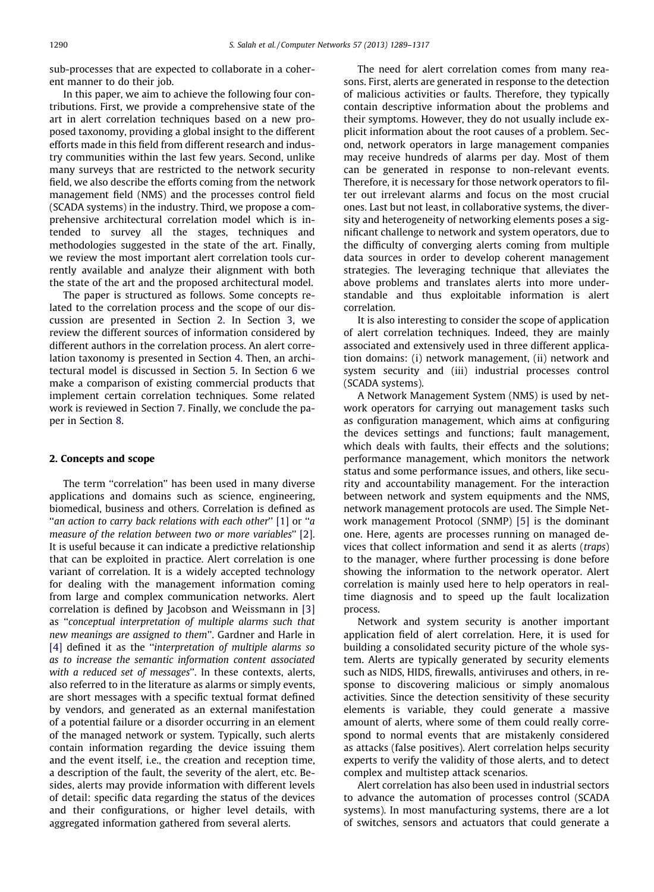sub-processes that are expected to collaborate in a coherent manner to do their job.

In this paper, we aim to achieve the following four contributions. First, we provide a comprehensive state of the art in alert correlation techniques based on a new proposed taxonomy, providing a global insight to the different efforts made in this field from different research and industry communities within the last few years. Second, unlike many surveys that are restricted to the network security field, we also describe the efforts coming from the network management field (NMS) and the processes control field (SCADA systems) in the industry. Third, we propose a comprehensive architectural correlation model which is intended to survey all the stages, techniques and methodologies suggested in the state of the art. Finally, we review the most important alert correlation tools currently available and analyze their alignment with both the state of the art and the proposed architectural model.

The paper is structured as follows. Some concepts related to the correlation process and the scope of our discussion are presented in Section 2. In Section 3, we review the different sources of information considered by different authors in the correlation process. An alert correlation taxonomy is presented in Section 4. Then, an architectural model is discussed in Section 5. In Section 6 we make a comparison of existing commercial products that implement certain correlation techniques. Some related work is reviewed in Section 7. Finally, we conclude the paper in Section 8.

# 2. Concepts and scope

The term ''correlation'' has been used in many diverse applications and domains such as science, engineering, biomedical, business and others. Correlation is defined as ''an action to carry back relations with each other'' [\[1\]](#page-26-0) or ''a measure of the relation between two or more variables'' [\[2\]](#page-26-0). It is useful because it can indicate a predictive relationship that can be exploited in practice. Alert correlation is one variant of correlation. It is a widely accepted technology for dealing with the management information coming from large and complex communication networks. Alert correlation is defined by Jacobson and Weissmann in [\[3\]](#page-26-0) as ''conceptual interpretation of multiple alarms such that new meanings are assigned to them''. Gardner and Harle in [\[4\]](#page-26-0) defined it as the "interpretation of multiple alarms so as to increase the semantic information content associated with a reduced set of messages''. In these contexts, alerts, also referred to in the literature as alarms or simply events, are short messages with a specific textual format defined by vendors, and generated as an external manifestation of a potential failure or a disorder occurring in an element of the managed network or system. Typically, such alerts contain information regarding the device issuing them and the event itself, i.e., the creation and reception time, a description of the fault, the severity of the alert, etc. Besides, alerts may provide information with different levels of detail: specific data regarding the status of the devices and their configurations, or higher level details, with aggregated information gathered from several alerts.

The need for alert correlation comes from many reasons. First, alerts are generated in response to the detection of malicious activities or faults. Therefore, they typically contain descriptive information about the problems and their symptoms. However, they do not usually include explicit information about the root causes of a problem. Second, network operators in large management companies may receive hundreds of alarms per day. Most of them can be generated in response to non-relevant events. Therefore, it is necessary for those network operators to filter out irrelevant alarms and focus on the most crucial ones. Last but not least, in collaborative systems, the diversity and heterogeneity of networking elements poses a significant challenge to network and system operators, due to the difficulty of converging alerts coming from multiple data sources in order to develop coherent management strategies. The leveraging technique that alleviates the above problems and translates alerts into more understandable and thus exploitable information is alert correlation.

It is also interesting to consider the scope of application of alert correlation techniques. Indeed, they are mainly associated and extensively used in three different application domains: (i) network management, (ii) network and system security and (iii) industrial processes control (SCADA systems).

A Network Management System (NMS) is used by network operators for carrying out management tasks such as configuration management, which aims at configuring the devices settings and functions; fault management, which deals with faults, their effects and the solutions; performance management, which monitors the network status and some performance issues, and others, like security and accountability management. For the interaction between network and system equipments and the NMS, network management protocols are used. The Simple Network management Protocol (SNMP) [\[5\]](#page-26-0) is the dominant one. Here, agents are processes running on managed devices that collect information and send it as alerts (traps) to the manager, where further processing is done before showing the information to the network operator. Alert correlation is mainly used here to help operators in realtime diagnosis and to speed up the fault localization process.

Network and system security is another important application field of alert correlation. Here, it is used for building a consolidated security picture of the whole system. Alerts are typically generated by security elements such as NIDS, HIDS, firewalls, antiviruses and others, in response to discovering malicious or simply anomalous activities. Since the detection sensitivity of these security elements is variable, they could generate a massive amount of alerts, where some of them could really correspond to normal events that are mistakenly considered as attacks (false positives). Alert correlation helps security experts to verify the validity of those alerts, and to detect complex and multistep attack scenarios.

Alert correlation has also been used in industrial sectors to advance the automation of processes control (SCADA systems). In most manufacturing systems, there are a lot of switches, sensors and actuators that could generate a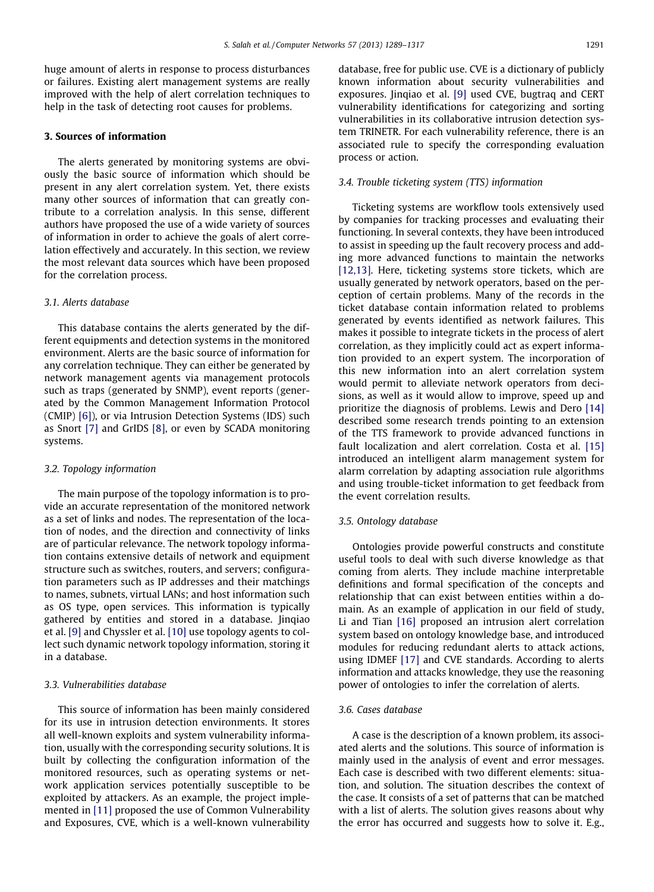huge amount of alerts in response to process disturbances or failures. Existing alert management systems are really improved with the help of alert correlation techniques to help in the task of detecting root causes for problems.

# 3. Sources of information

The alerts generated by monitoring systems are obviously the basic source of information which should be present in any alert correlation system. Yet, there exists many other sources of information that can greatly contribute to a correlation analysis. In this sense, different authors have proposed the use of a wide variety of sources of information in order to achieve the goals of alert correlation effectively and accurately. In this section, we review the most relevant data sources which have been proposed for the correlation process.

#### 3.1. Alerts database

This database contains the alerts generated by the different equipments and detection systems in the monitored environment. Alerts are the basic source of information for any correlation technique. They can either be generated by network management agents via management protocols such as traps (generated by SNMP), event reports (generated by the Common Management Information Protocol (CMIP) [\[6\]](#page-26-0)), or via Intrusion Detection Systems (IDS) such as Snort [\[7\]](#page-26-0) and GrIDS [\[8\],](#page-26-0) or even by SCADA monitoring systems.

#### 3.2. Topology information

The main purpose of the topology information is to provide an accurate representation of the monitored network as a set of links and nodes. The representation of the location of nodes, and the direction and connectivity of links are of particular relevance. The network topology information contains extensive details of network and equipment structure such as switches, routers, and servers; configuration parameters such as IP addresses and their matchings to names, subnets, virtual LANs; and host information such as OS type, open services. This information is typically gathered by entities and stored in a database. Jinqiao et al. [\[9\]](#page-26-0) and Chyssler et al. [\[10\]](#page-26-0) use topology agents to collect such dynamic network topology information, storing it in a database.

# 3.3. Vulnerabilities database

This source of information has been mainly considered for its use in intrusion detection environments. It stores all well-known exploits and system vulnerability information, usually with the corresponding security solutions. It is built by collecting the configuration information of the monitored resources, such as operating systems or network application services potentially susceptible to be exploited by attackers. As an example, the project implemented in [\[11\]](#page-26-0) proposed the use of Common Vulnerability and Exposures, CVE, which is a well-known vulnerability database, free for public use. CVE is a dictionary of publicly known information about security vulnerabilities and exposures. Jinqiao et al. [\[9\]](#page-26-0) used CVE, bugtraq and CERT vulnerability identifications for categorizing and sorting vulnerabilities in its collaborative intrusion detection system TRINETR. For each vulnerability reference, there is an associated rule to specify the corresponding evaluation process or action.

# 3.4. Trouble ticketing system (TTS) information

Ticketing systems are workflow tools extensively used by companies for tracking processes and evaluating their functioning. In several contexts, they have been introduced to assist in speeding up the fault recovery process and adding more advanced functions to maintain the networks [\[12,13\].](#page-26-0) Here, ticketing systems store tickets, which are usually generated by network operators, based on the perception of certain problems. Many of the records in the ticket database contain information related to problems generated by events identified as network failures. This makes it possible to integrate tickets in the process of alert correlation, as they implicitly could act as expert information provided to an expert system. The incorporation of this new information into an alert correlation system would permit to alleviate network operators from decisions, as well as it would allow to improve, speed up and prioritize the diagnosis of problems. Lewis and Dero [\[14\]](#page-26-0) described some research trends pointing to an extension of the TTS framework to provide advanced functions in fault localization and alert correlation. Costa et al. [\[15\]](#page-27-0) introduced an intelligent alarm management system for alarm correlation by adapting association rule algorithms and using trouble-ticket information to get feedback from the event correlation results.

# 3.5. Ontology database

Ontologies provide powerful constructs and constitute useful tools to deal with such diverse knowledge as that coming from alerts. They include machine interpretable definitions and formal specification of the concepts and relationship that can exist between entities within a domain. As an example of application in our field of study, Li and Tian [\[16\]](#page-27-0) proposed an intrusion alert correlation system based on ontology knowledge base, and introduced modules for reducing redundant alerts to attack actions, using IDMEF [\[17\]](#page-27-0) and CVE standards. According to alerts information and attacks knowledge, they use the reasoning power of ontologies to infer the correlation of alerts.

### 3.6. Cases database

A case is the description of a known problem, its associated alerts and the solutions. This source of information is mainly used in the analysis of event and error messages. Each case is described with two different elements: situation, and solution. The situation describes the context of the case. It consists of a set of patterns that can be matched with a list of alerts. The solution gives reasons about why the error has occurred and suggests how to solve it. E.g.,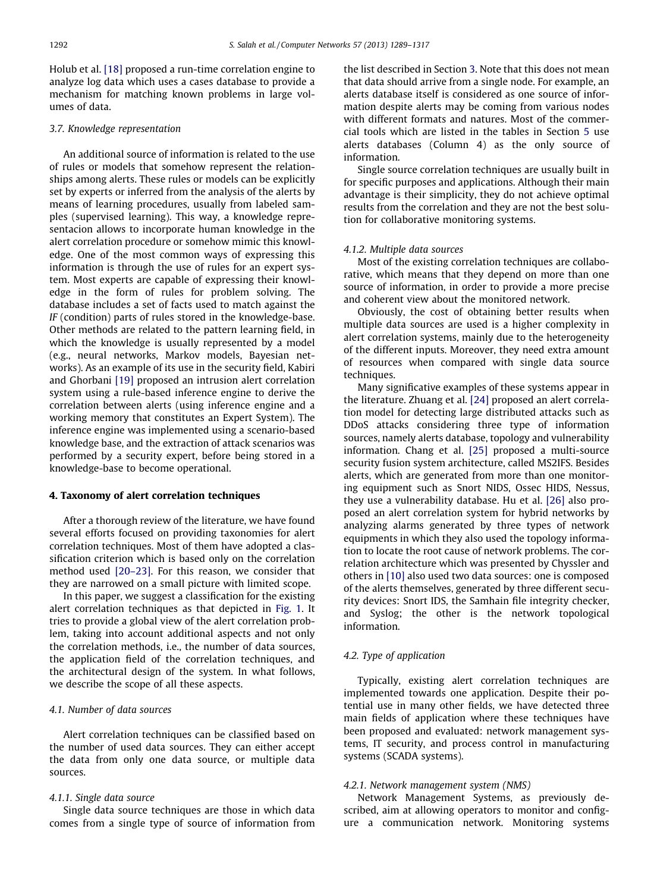Holub et al. [\[18\]](#page-27-0) proposed a run-time correlation engine to analyze log data which uses a cases database to provide a mechanism for matching known problems in large volumes of data.

# 3.7. Knowledge representation

An additional source of information is related to the use of rules or models that somehow represent the relationships among alerts. These rules or models can be explicitly set by experts or inferred from the analysis of the alerts by means of learning procedures, usually from labeled samples (supervised learning). This way, a knowledge representacion allows to incorporate human knowledge in the alert correlation procedure or somehow mimic this knowledge. One of the most common ways of expressing this information is through the use of rules for an expert system. Most experts are capable of expressing their knowledge in the form of rules for problem solving. The database includes a set of facts used to match against the IF (condition) parts of rules stored in the knowledge-base. Other methods are related to the pattern learning field, in which the knowledge is usually represented by a model (e.g., neural networks, Markov models, Bayesian networks). As an example of its use in the security field, Kabiri and Ghorbani [\[19\]](#page-27-0) proposed an intrusion alert correlation system using a rule-based inference engine to derive the correlation between alerts (using inference engine and a working memory that constitutes an Expert System). The inference engine was implemented using a scenario-based knowledge base, and the extraction of attack scenarios was performed by a security expert, before being stored in a knowledge-base to become operational.

#### 4. Taxonomy of alert correlation techniques

After a thorough review of the literature, we have found several efforts focused on providing taxonomies for alert correlation techniques. Most of them have adopted a classification criterion which is based only on the correlation method used [\[20–23\].](#page-27-0) For this reason, we consider that they are narrowed on a small picture with limited scope.

In this paper, we suggest a classification for the existing alert correlation techniques as that depicted in [Fig. 1](#page-4-0). It tries to provide a global view of the alert correlation problem, taking into account additional aspects and not only the correlation methods, i.e., the number of data sources, the application field of the correlation techniques, and the architectural design of the system. In what follows, we describe the scope of all these aspects.

#### 4.1. Number of data sources

Alert correlation techniques can be classified based on the number of used data sources. They can either accept the data from only one data source, or multiple data sources.

#### 4.1.1. Single data source

Single data source techniques are those in which data comes from a single type of source of information from the list described in Section 3. Note that this does not mean that data should arrive from a single node. For example, an alerts database itself is considered as one source of information despite alerts may be coming from various nodes with different formats and natures. Most of the commercial tools which are listed in the tables in Section 5 use alerts databases (Column 4) as the only source of information.

Single source correlation techniques are usually built in for specific purposes and applications. Although their main advantage is their simplicity, they do not achieve optimal results from the correlation and they are not the best solution for collaborative monitoring systems.

#### 4.1.2. Multiple data sources

Most of the existing correlation techniques are collaborative, which means that they depend on more than one source of information, in order to provide a more precise and coherent view about the monitored network.

Obviously, the cost of obtaining better results when multiple data sources are used is a higher complexity in alert correlation systems, mainly due to the heterogeneity of the different inputs. Moreover, they need extra amount of resources when compared with single data source techniques.

Many significative examples of these systems appear in the literature. Zhuang et al. [\[24\]](#page-27-0) proposed an alert correlation model for detecting large distributed attacks such as DDoS attacks considering three type of information sources, namely alerts database, topology and vulnerability information. Chang et al. [\[25\]](#page-27-0) proposed a multi-source security fusion system architecture, called MS2IFS. Besides alerts, which are generated from more than one monitoring equipment such as Snort NIDS, Ossec HIDS, Nessus, they use a vulnerability database. Hu et al. [\[26\]](#page-27-0) also proposed an alert correlation system for hybrid networks by analyzing alarms generated by three types of network equipments in which they also used the topology information to locate the root cause of network problems. The correlation architecture which was presented by Chyssler and others in [\[10\]](#page-26-0) also used two data sources: one is composed of the alerts themselves, generated by three different security devices: Snort IDS, the Samhain file integrity checker, and Syslog; the other is the network topological information.

#### 4.2. Type of application

Typically, existing alert correlation techniques are implemented towards one application. Despite their potential use in many other fields, we have detected three main fields of application where these techniques have been proposed and evaluated: network management systems, IT security, and process control in manufacturing systems (SCADA systems).

# 4.2.1. Network management system (NMS)

Network Management Systems, as previously described, aim at allowing operators to monitor and configure a communication network. Monitoring systems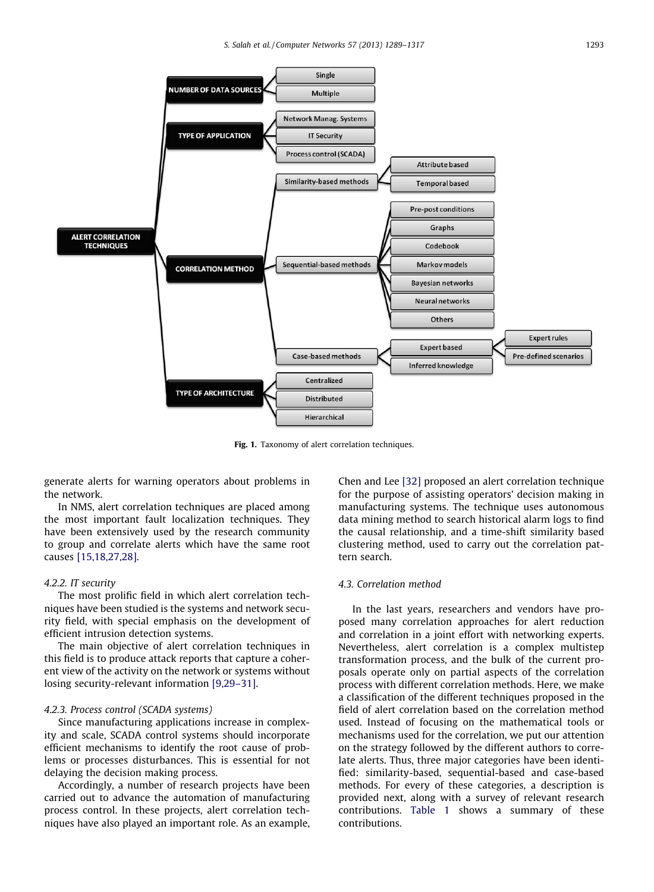<span id="page-4-0"></span>

Fig. 1. Taxonomy of alert correlation techniques.

generate alerts for warning operators about problems in the network.

In NMS, alert correlation techniques are placed among the most important fault localization techniques. They have been extensively used by the research community to group and correlate alerts which have the same root causes [\[15,18,27,28\].](#page-27-0)

#### 4.2.2. IT security

The most prolific field in which alert correlation techniques have been studied is the systems and network security field, with special emphasis on the development of efficient intrusion detection systems.

The main objective of alert correlation techniques in this field is to produce attack reports that capture a coherent view of the activity on the network or systems without losing security-relevant information [\[9,29–31\]](#page-26-0).

#### 4.2.3. Process control (SCADA systems)

Since manufacturing applications increase in complexity and scale, SCADA control systems should incorporate efficient mechanisms to identify the root cause of problems or processes disturbances. This is essential for not delaying the decision making process.

Accordingly, a number of research projects have been carried out to advance the automation of manufacturing process control. In these projects, alert correlation techniques have also played an important role. As an example, Chen and Lee [\[32\]](#page-27-0) proposed an alert correlation technique for the purpose of assisting operators' decision making in manufacturing systems. The technique uses autonomous data mining method to search historical alarm logs to find the causal relationship, and a time-shift similarity based clustering method, used to carry out the correlation pattern search.

#### 4.3. Correlation method

In the last years, researchers and vendors have proposed many correlation approaches for alert reduction and correlation in a joint effort with networking experts. Nevertheless, alert correlation is a complex multistep transformation process, and the bulk of the current proposals operate only on partial aspects of the correlation process with different correlation methods. Here, we make a classification of the different techniques proposed in the field of alert correlation based on the correlation method used. Instead of focusing on the mathematical tools or mechanisms used for the correlation, we put our attention on the strategy followed by the different authors to correlate alerts. Thus, three major categories have been identified: similarity-based, sequential-based and case-based methods. For every of these categories, a description is provided next, along with a survey of relevant research contributions. [Table 1](#page-5-0) shows a summary of these contributions.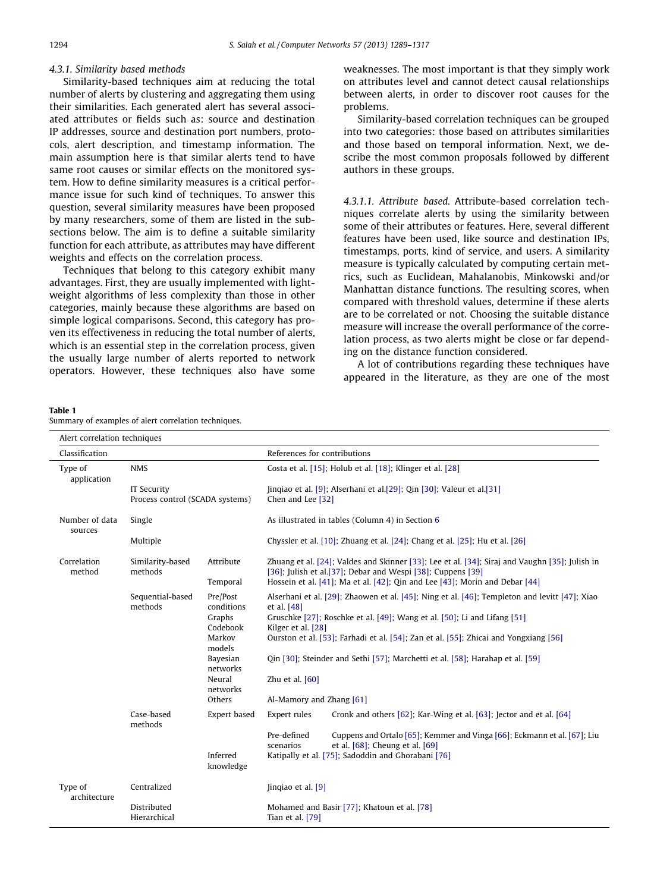# <span id="page-5-0"></span>4.3.1. Similarity based methods

Similarity-based techniques aim at reducing the total number of alerts by clustering and aggregating them using their similarities. Each generated alert has several associated attributes or fields such as: source and destination IP addresses, source and destination port numbers, protocols, alert description, and timestamp information. The main assumption here is that similar alerts tend to have same root causes or similar effects on the monitored system. How to define similarity measures is a critical performance issue for such kind of techniques. To answer this question, several similarity measures have been proposed by many researchers, some of them are listed in the subsections below. The aim is to define a suitable similarity function for each attribute, as attributes may have different weights and effects on the correlation process.

Techniques that belong to this category exhibit many advantages. First, they are usually implemented with lightweight algorithms of less complexity than those in other categories, mainly because these algorithms are based on simple logical comparisons. Second, this category has proven its effectiveness in reducing the total number of alerts, which is an essential step in the correlation process, given the usually large number of alerts reported to network operators. However, these techniques also have some weaknesses. The most important is that they simply work on attributes level and cannot detect causal relationships between alerts, in order to discover root causes for the problems.

Similarity-based correlation techniques can be grouped into two categories: those based on attributes similarities and those based on temporal information. Next, we describe the most common proposals followed by different authors in these groups.

4.3.1.1. Attribute based. Attribute-based correlation techniques correlate alerts by using the similarity between some of their attributes or features. Here, several different features have been used, like source and destination IPs, timestamps, ports, kind of service, and users. A similarity measure is typically calculated by computing certain metrics, such as Euclidean, Mahalanobis, Minkowski and/or Manhattan distance functions. The resulting scores, when compared with threshold values, determine if these alerts are to be correlated or not. Choosing the suitable distance measure will increase the overall performance of the correlation process, as two alerts might be close or far depending on the distance function considered.

A lot of contributions regarding these techniques have appeared in the literature, as they are one of the most

# Table 1

| Table 1                                             |  |  |
|-----------------------------------------------------|--|--|
| Summary of examples of alert correlation techniques |  |  |

| Alert correlation techniques |                                                |                                                                                                                          |                                                                                                                                                                                                                                                                                                                                                                                                                                          |  |  |
|------------------------------|------------------------------------------------|--------------------------------------------------------------------------------------------------------------------------|------------------------------------------------------------------------------------------------------------------------------------------------------------------------------------------------------------------------------------------------------------------------------------------------------------------------------------------------------------------------------------------------------------------------------------------|--|--|
| Classification               |                                                |                                                                                                                          | References for contributions                                                                                                                                                                                                                                                                                                                                                                                                             |  |  |
| Type of<br>application       | <b>NMS</b>                                     |                                                                                                                          | Costa et al. [15]; Holub et al. [18]; Klinger et al. [28]                                                                                                                                                                                                                                                                                                                                                                                |  |  |
|                              | IT Security<br>Process control (SCADA systems) |                                                                                                                          | Jingiao et al. [9]; Alserhani et al. [29]; Qin [30]; Valeur et al. [31]<br>Chen and Lee [32]                                                                                                                                                                                                                                                                                                                                             |  |  |
| Number of data<br>sources    | Single                                         |                                                                                                                          | As illustrated in tables (Column 4) in Section 6                                                                                                                                                                                                                                                                                                                                                                                         |  |  |
|                              | Multiple                                       |                                                                                                                          | Chyssler et al. [10]; Zhuang et al. [24]; Chang et al. [25]; Hu et al. [26]                                                                                                                                                                                                                                                                                                                                                              |  |  |
| Correlation<br>method        | Similarity-based<br>methods                    | Attribute<br>Temporal                                                                                                    | Zhuang et al. [24]; Valdes and Skinner [33]; Lee et al. [34]; Siraj and Vaughn [35]; Julish in<br>[36]; Julish et al. [37]; Debar and Wespi [38]; Cuppens [39]<br>Hossein et al. [41]; Ma et al. [42]; Qin and Lee [43]; Morin and Debar [44]                                                                                                                                                                                            |  |  |
|                              | Sequential-based<br>methods                    | Pre/Post<br>conditions<br>Graphs<br>Codebook<br>Markov<br>models<br>Bayesian<br>networks<br>Neural<br>networks<br>Others | Alserhani et al. [29]; Zhaowen et al. [45]; Ning et al. [46]; Templeton and levitt [47]; Xiao<br>et al. [48]<br>Gruschke [27]; Roschke et al. [49]; Wang et al. [50]; Li and Lifang [51]<br>Kilger et al. [28]<br>Ourston et al. [53]; Farhadi et al. [54]; Zan et al. [55]; Zhicai and Yongxiang [56]<br>Oin [30]; Steinder and Sethi [57]; Marchetti et al. [58]; Harahap et al. [59]<br>Zhu et al. $[60]$<br>Al-Mamory and Zhang [61] |  |  |
|                              | Case-based<br>methods                          | Expert based<br>Inferred<br>knowledge                                                                                    | Expert rules<br>Cronk and others [62]; Kar-Wing et al. [63]; Jector and et al. [64]<br>Pre-defined<br>Cuppens and Ortalo [65]; Kemmer and Vinga [66]; Eckmann et al. [67]; Liu<br>scenarios<br>et al. [68]; Cheung et al. [69]<br>Katipally et al. [75]; Sadoddin and Ghorabani [76]                                                                                                                                                     |  |  |
| Type of<br>architecture      | Centralized                                    |                                                                                                                          | Jingiao et al. $[9]$                                                                                                                                                                                                                                                                                                                                                                                                                     |  |  |
|                              | Distributed<br>Hierarchical                    |                                                                                                                          | Mohamed and Basir [77]; Khatoun et al. [78]<br>Tian et al. [79]                                                                                                                                                                                                                                                                                                                                                                          |  |  |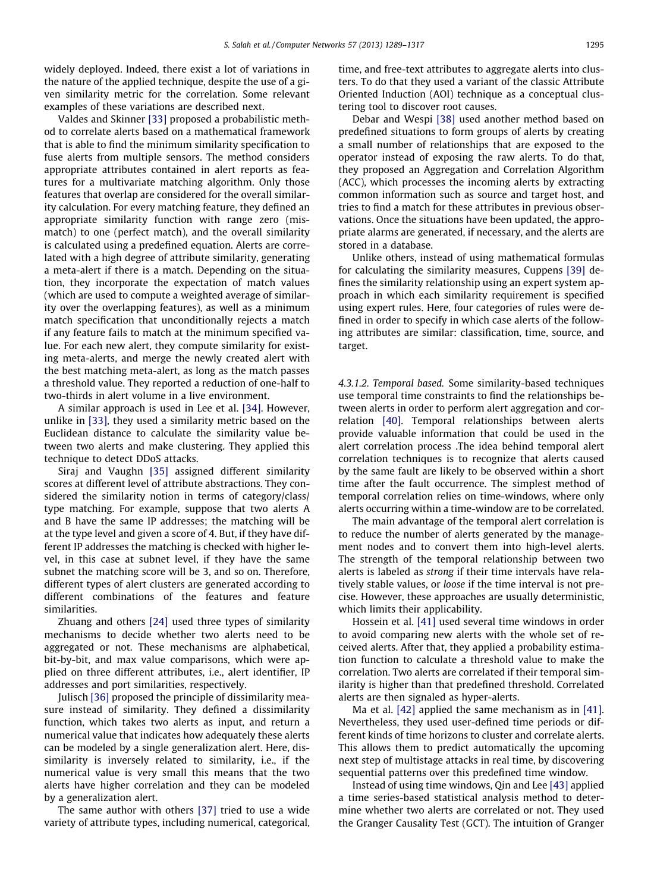widely deployed. Indeed, there exist a lot of variations in the nature of the applied technique, despite the use of a given similarity metric for the correlation. Some relevant examples of these variations are described next.

Valdes and Skinner [\[33\]](#page-27-0) proposed a probabilistic method to correlate alerts based on a mathematical framework that is able to find the minimum similarity specification to fuse alerts from multiple sensors. The method considers appropriate attributes contained in alert reports as features for a multivariate matching algorithm. Only those features that overlap are considered for the overall similarity calculation. For every matching feature, they defined an appropriate similarity function with range zero (mismatch) to one (perfect match), and the overall similarity is calculated using a predefined equation. Alerts are correlated with a high degree of attribute similarity, generating a meta-alert if there is a match. Depending on the situation, they incorporate the expectation of match values (which are used to compute a weighted average of similarity over the overlapping features), as well as a minimum match specification that unconditionally rejects a match if any feature fails to match at the minimum specified value. For each new alert, they compute similarity for existing meta-alerts, and merge the newly created alert with the best matching meta-alert, as long as the match passes a threshold value. They reported a reduction of one-half to two-thirds in alert volume in a live environment.

A similar approach is used in Lee et al. [\[34\]](#page-27-0). However, unlike in [\[33\]](#page-27-0), they used a similarity metric based on the Euclidean distance to calculate the similarity value between two alerts and make clustering. They applied this technique to detect DDoS attacks.

Siraj and Vaughn [\[35\]](#page-27-0) assigned different similarity scores at different level of attribute abstractions. They considered the similarity notion in terms of category/class/ type matching. For example, suppose that two alerts A and B have the same IP addresses; the matching will be at the type level and given a score of 4. But, if they have different IP addresses the matching is checked with higher level, in this case at subnet level, if they have the same subnet the matching score will be 3, and so on. Therefore, different types of alert clusters are generated according to different combinations of the features and feature similarities.

Zhuang and others [\[24\]](#page-27-0) used three types of similarity mechanisms to decide whether two alerts need to be aggregated or not. These mechanisms are alphabetical, bit-by-bit, and max value comparisons, which were applied on three different attributes, i.e., alert identifier, IP addresses and port similarities, respectively.

Julisch [\[36\]](#page-27-0) proposed the principle of dissimilarity measure instead of similarity. They defined a dissimilarity function, which takes two alerts as input, and return a numerical value that indicates how adequately these alerts can be modeled by a single generalization alert. Here, dissimilarity is inversely related to similarity, i.e., if the numerical value is very small this means that the two alerts have higher correlation and they can be modeled by a generalization alert.

The same author with others [\[37\]](#page-27-0) tried to use a wide variety of attribute types, including numerical, categorical, time, and free-text attributes to aggregate alerts into clusters. To do that they used a variant of the classic Attribute Oriented Induction (AOI) technique as a conceptual clustering tool to discover root causes.

Debar and Wespi [\[38\]](#page-27-0) used another method based on predefined situations to form groups of alerts by creating a small number of relationships that are exposed to the operator instead of exposing the raw alerts. To do that, they proposed an Aggregation and Correlation Algorithm (ACC), which processes the incoming alerts by extracting common information such as source and target host, and tries to find a match for these attributes in previous observations. Once the situations have been updated, the appropriate alarms are generated, if necessary, and the alerts are stored in a database.

Unlike others, instead of using mathematical formulas for calculating the similarity measures, Cuppens [\[39\]](#page-27-0) defines the similarity relationship using an expert system approach in which each similarity requirement is specified using expert rules. Here, four categories of rules were defined in order to specify in which case alerts of the following attributes are similar: classification, time, source, and target.

4.3.1.2. Temporal based. Some similarity-based techniques use temporal time constraints to find the relationships between alerts in order to perform alert aggregation and correlation [\[40\].](#page-27-0) Temporal relationships between alerts provide valuable information that could be used in the alert correlation process .The idea behind temporal alert correlation techniques is to recognize that alerts caused by the same fault are likely to be observed within a short time after the fault occurrence. The simplest method of temporal correlation relies on time-windows, where only alerts occurring within a time-window are to be correlated.

The main advantage of the temporal alert correlation is to reduce the number of alerts generated by the management nodes and to convert them into high-level alerts. The strength of the temporal relationship between two alerts is labeled as strong if their time intervals have relatively stable values, or loose if the time interval is not precise. However, these approaches are usually deterministic, which limits their applicability.

Hossein et al. [\[41\]](#page-27-0) used several time windows in order to avoid comparing new alerts with the whole set of received alerts. After that, they applied a probability estimation function to calculate a threshold value to make the correlation. Two alerts are correlated if their temporal similarity is higher than that predefined threshold. Correlated alerts are then signaled as hyper-alerts.

Ma et al. [\[42\]](#page-27-0) applied the same mechanism as in [\[41\]](#page-27-0). Nevertheless, they used user-defined time periods or different kinds of time horizons to cluster and correlate alerts. This allows them to predict automatically the upcoming next step of multistage attacks in real time, by discovering sequential patterns over this predefined time window.

Instead of using time windows, Qin and Lee [\[43\]](#page-27-0) applied a time series-based statistical analysis method to determine whether two alerts are correlated or not. They used the Granger Causality Test (GCT). The intuition of Granger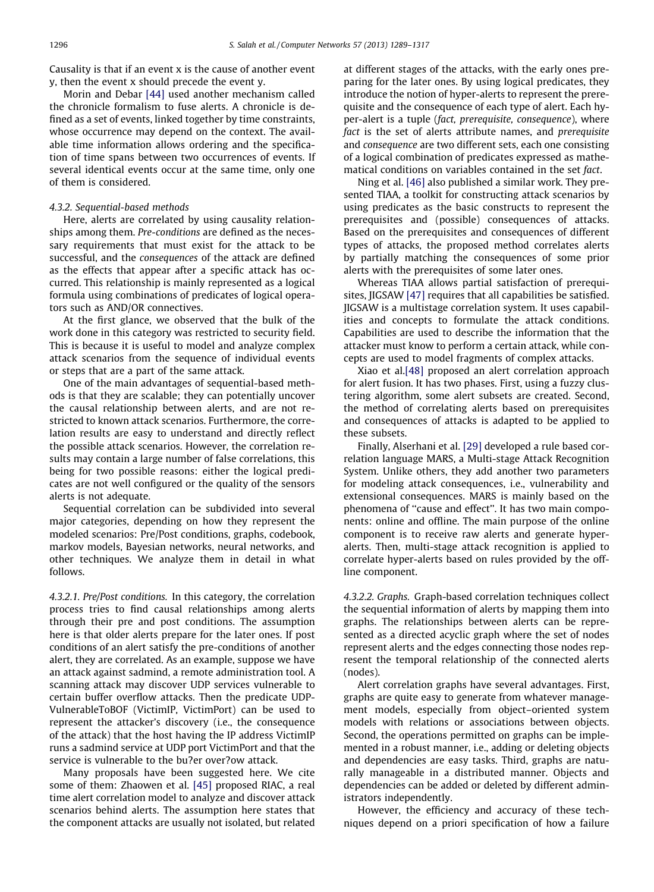Causality is that if an event x is the cause of another event y, then the event x should precede the event y.

Morin and Debar [\[44\]](#page-27-0) used another mechanism called the chronicle formalism to fuse alerts. A chronicle is defined as a set of events, linked together by time constraints, whose occurrence may depend on the context. The available time information allows ordering and the specification of time spans between two occurrences of events. If several identical events occur at the same time, only one of them is considered.

#### 4.3.2. Sequential-based methods

Here, alerts are correlated by using causality relationships among them. Pre-conditions are defined as the necessary requirements that must exist for the attack to be successful, and the consequences of the attack are defined as the effects that appear after a specific attack has occurred. This relationship is mainly represented as a logical formula using combinations of predicates of logical operators such as AND/OR connectives.

At the first glance, we observed that the bulk of the work done in this category was restricted to security field. This is because it is useful to model and analyze complex attack scenarios from the sequence of individual events or steps that are a part of the same attack.

One of the main advantages of sequential-based methods is that they are scalable; they can potentially uncover the causal relationship between alerts, and are not restricted to known attack scenarios. Furthermore, the correlation results are easy to understand and directly reflect the possible attack scenarios. However, the correlation results may contain a large number of false correlations, this being for two possible reasons: either the logical predicates are not well configured or the quality of the sensors alerts is not adequate.

Sequential correlation can be subdivided into several major categories, depending on how they represent the modeled scenarios: Pre/Post conditions, graphs, codebook, markov models, Bayesian networks, neural networks, and other techniques. We analyze them in detail in what follows.

4.3.2.1. Pre/Post conditions. In this category, the correlation process tries to find causal relationships among alerts through their pre and post conditions. The assumption here is that older alerts prepare for the later ones. If post conditions of an alert satisfy the pre-conditions of another alert, they are correlated. As an example, suppose we have an attack against sadmind, a remote administration tool. A scanning attack may discover UDP services vulnerable to certain buffer overflow attacks. Then the predicate UDP-VulnerableToBOF (VictimIP, VictimPort) can be used to represent the attacker's discovery (i.e., the consequence of the attack) that the host having the IP address VictimIP runs a sadmind service at UDP port VictimPort and that the service is vulnerable to the bu?er over?ow attack.

Many proposals have been suggested here. We cite some of them: Zhaowen et al. [\[45\]](#page-27-0) proposed RIAC, a real time alert correlation model to analyze and discover attack scenarios behind alerts. The assumption here states that the component attacks are usually not isolated, but related

at different stages of the attacks, with the early ones preparing for the later ones. By using logical predicates, they introduce the notion of hyper-alerts to represent the prerequisite and the consequence of each type of alert. Each hyper-alert is a tuple (fact, prerequisite, consequence), where fact is the set of alerts attribute names, and prerequisite and consequence are two different sets, each one consisting of a logical combination of predicates expressed as mathematical conditions on variables contained in the set fact.

Ning et al. [\[46\]](#page-27-0) also published a similar work. They presented TIAA, a toolkit for constructing attack scenarios by using predicates as the basic constructs to represent the prerequisites and (possible) consequences of attacks. Based on the prerequisites and consequences of different types of attacks, the proposed method correlates alerts by partially matching the consequences of some prior alerts with the prerequisites of some later ones.

Whereas TIAA allows partial satisfaction of prerequisites, JIGSAW [\[47\]](#page-27-0) requires that all capabilities be satisfied. JIGSAW is a multistage correlation system. It uses capabilities and concepts to formulate the attack conditions. Capabilities are used to describe the information that the attacker must know to perform a certain attack, while concepts are used to model fragments of complex attacks.

Xiao et al[.\[48\]](#page-27-0) proposed an alert correlation approach for alert fusion. It has two phases. First, using a fuzzy clustering algorithm, some alert subsets are created. Second, the method of correlating alerts based on prerequisites and consequences of attacks is adapted to be applied to these subsets.

Finally, Alserhani et al. [\[29\]](#page-27-0) developed a rule based correlation language MARS, a Multi-stage Attack Recognition System. Unlike others, they add another two parameters for modeling attack consequences, i.e., vulnerability and extensional consequences. MARS is mainly based on the phenomena of ''cause and effect''. It has two main components: online and offline. The main purpose of the online component is to receive raw alerts and generate hyperalerts. Then, multi-stage attack recognition is applied to correlate hyper-alerts based on rules provided by the offline component.

4.3.2.2. Graphs. Graph-based correlation techniques collect the sequential information of alerts by mapping them into graphs. The relationships between alerts can be represented as a directed acyclic graph where the set of nodes represent alerts and the edges connecting those nodes represent the temporal relationship of the connected alerts (nodes).

Alert correlation graphs have several advantages. First, graphs are quite easy to generate from whatever management models, especially from object–oriented system models with relations or associations between objects. Second, the operations permitted on graphs can be implemented in a robust manner, i.e., adding or deleting objects and dependencies are easy tasks. Third, graphs are naturally manageable in a distributed manner. Objects and dependencies can be added or deleted by different administrators independently.

However, the efficiency and accuracy of these techniques depend on a priori specification of how a failure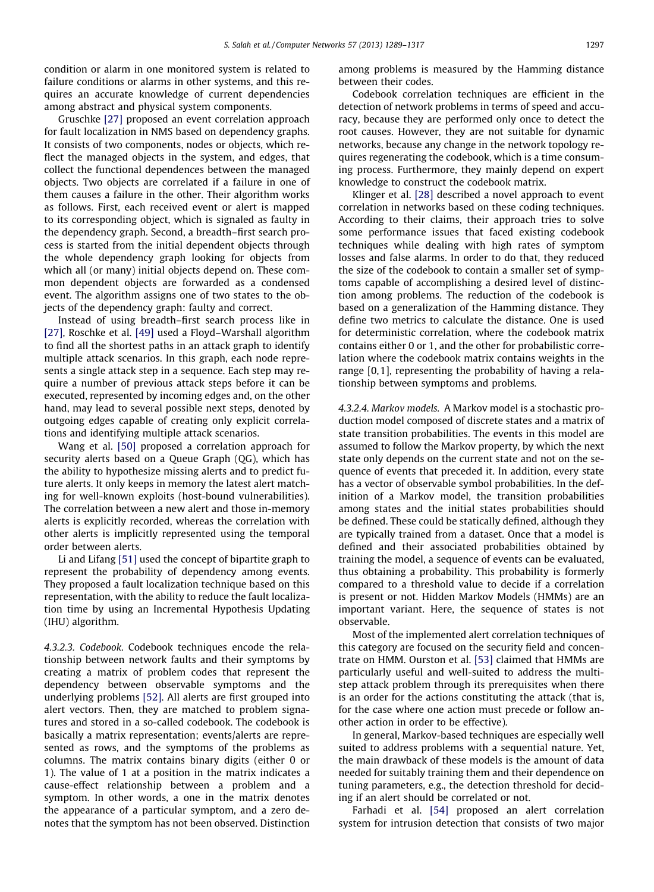condition or alarm in one monitored system is related to failure conditions or alarms in other systems, and this requires an accurate knowledge of current dependencies among abstract and physical system components.

Gruschke [\[27\]](#page-27-0) proposed an event correlation approach for fault localization in NMS based on dependency graphs. It consists of two components, nodes or objects, which reflect the managed objects in the system, and edges, that collect the functional dependences between the managed objects. Two objects are correlated if a failure in one of them causes a failure in the other. Their algorithm works as follows. First, each received event or alert is mapped to its corresponding object, which is signaled as faulty in the dependency graph. Second, a breadth–first search process is started from the initial dependent objects through the whole dependency graph looking for objects from which all (or many) initial objects depend on. These common dependent objects are forwarded as a condensed event. The algorithm assigns one of two states to the objects of the dependency graph: faulty and correct.

Instead of using breadth–first search process like in [\[27\]](#page-27-0), Roschke et al. [\[49\]](#page-27-0) used a Floyd–Warshall algorithm to find all the shortest paths in an attack graph to identify multiple attack scenarios. In this graph, each node represents a single attack step in a sequence. Each step may require a number of previous attack steps before it can be executed, represented by incoming edges and, on the other hand, may lead to several possible next steps, denoted by outgoing edges capable of creating only explicit correlations and identifying multiple attack scenarios.

Wang et al. [\[50\]](#page-27-0) proposed a correlation approach for security alerts based on a Queue Graph (QG), which has the ability to hypothesize missing alerts and to predict future alerts. It only keeps in memory the latest alert matching for well-known exploits (host-bound vulnerabilities). The correlation between a new alert and those in-memory alerts is explicitly recorded, whereas the correlation with other alerts is implicitly represented using the temporal order between alerts.

Li and Lifang [\[51\]](#page-27-0) used the concept of bipartite graph to represent the probability of dependency among events. They proposed a fault localization technique based on this representation, with the ability to reduce the fault localization time by using an Incremental Hypothesis Updating (IHU) algorithm.

4.3.2.3. Codebook. Codebook techniques encode the relationship between network faults and their symptoms by creating a matrix of problem codes that represent the dependency between observable symptoms and the underlying problems [\[52\].](#page-27-0) All alerts are first grouped into alert vectors. Then, they are matched to problem signatures and stored in a so-called codebook. The codebook is basically a matrix representation; events/alerts are represented as rows, and the symptoms of the problems as columns. The matrix contains binary digits (either 0 or 1). The value of 1 at a position in the matrix indicates a cause-effect relationship between a problem and a symptom. In other words, a one in the matrix denotes the appearance of a particular symptom, and a zero denotes that the symptom has not been observed. Distinction among problems is measured by the Hamming distance between their codes.

Codebook correlation techniques are efficient in the detection of network problems in terms of speed and accuracy, because they are performed only once to detect the root causes. However, they are not suitable for dynamic networks, because any change in the network topology requires regenerating the codebook, which is a time consuming process. Furthermore, they mainly depend on expert knowledge to construct the codebook matrix.

Klinger et al. [\[28\]](#page-27-0) described a novel approach to event correlation in networks based on these coding techniques. According to their claims, their approach tries to solve some performance issues that faced existing codebook techniques while dealing with high rates of symptom losses and false alarms. In order to do that, they reduced the size of the codebook to contain a smaller set of symptoms capable of accomplishing a desired level of distinction among problems. The reduction of the codebook is based on a generalization of the Hamming distance. They define two metrics to calculate the distance. One is used for deterministic correlation, where the codebook matrix contains either 0 or 1, and the other for probabilistic correlation where the codebook matrix contains weights in the range [0,1], representing the probability of having a relationship between symptoms and problems.

4.3.2.4. Markov models. A Markov model is a stochastic production model composed of discrete states and a matrix of state transition probabilities. The events in this model are assumed to follow the Markov property, by which the next state only depends on the current state and not on the sequence of events that preceded it. In addition, every state has a vector of observable symbol probabilities. In the definition of a Markov model, the transition probabilities among states and the initial states probabilities should be defined. These could be statically defined, although they are typically trained from a dataset. Once that a model is defined and their associated probabilities obtained by training the model, a sequence of events can be evaluated, thus obtaining a probability. This probability is formerly compared to a threshold value to decide if a correlation is present or not. Hidden Markov Models (HMMs) are an important variant. Here, the sequence of states is not observable.

Most of the implemented alert correlation techniques of this category are focused on the security field and concentrate on HMM. Ourston et al. [\[53\]](#page-27-0) claimed that HMMs are particularly useful and well-suited to address the multistep attack problem through its prerequisites when there is an order for the actions constituting the attack (that is, for the case where one action must precede or follow another action in order to be effective).

In general, Markov-based techniques are especially well suited to address problems with a sequential nature. Yet, the main drawback of these models is the amount of data needed for suitably training them and their dependence on tuning parameters, e.g., the detection threshold for deciding if an alert should be correlated or not.

Farhadi et al. [\[54\]](#page-27-0) proposed an alert correlation system for intrusion detection that consists of two major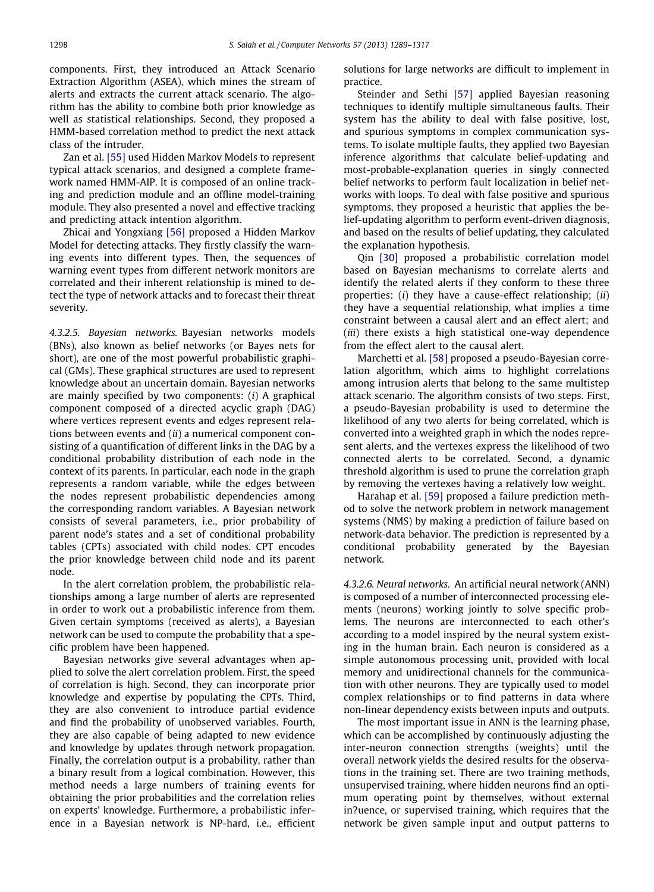components. First, they introduced an Attack Scenario Extraction Algorithm (ASEA), which mines the stream of alerts and extracts the current attack scenario. The algorithm has the ability to combine both prior knowledge as well as statistical relationships. Second, they proposed a HMM-based correlation method to predict the next attack class of the intruder.

Zan et al. [\[55\]](#page-27-0) used Hidden Markov Models to represent typical attack scenarios, and designed a complete framework named HMM-AIP. It is composed of an online tracking and prediction module and an offline model-training module. They also presented a novel and effective tracking and predicting attack intention algorithm.

Zhicai and Yongxiang [\[56\]](#page-27-0) proposed a Hidden Markov Model for detecting attacks. They firstly classify the warning events into different types. Then, the sequences of warning event types from different network monitors are correlated and their inherent relationship is mined to detect the type of network attacks and to forecast their threat severity.

4.3.2.5. Bayesian networks. Bayesian networks models (BNs), also known as belief networks (or Bayes nets for short), are one of the most powerful probabilistic graphical (GMs). These graphical structures are used to represent knowledge about an uncertain domain. Bayesian networks are mainly specified by two components: (i) A graphical component composed of a directed acyclic graph (DAG) where vertices represent events and edges represent relations between events and (ii) a numerical component consisting of a quantification of different links in the DAG by a conditional probability distribution of each node in the context of its parents. In particular, each node in the graph represents a random variable, while the edges between the nodes represent probabilistic dependencies among the corresponding random variables. A Bayesian network consists of several parameters, i.e., prior probability of parent node's states and a set of conditional probability tables (CPTs) associated with child nodes. CPT encodes the prior knowledge between child node and its parent node.

In the alert correlation problem, the probabilistic relationships among a large number of alerts are represented in order to work out a probabilistic inference from them. Given certain symptoms (received as alerts), a Bayesian network can be used to compute the probability that a specific problem have been happened.

Bayesian networks give several advantages when applied to solve the alert correlation problem. First, the speed of correlation is high. Second, they can incorporate prior knowledge and expertise by populating the CPTs. Third, they are also convenient to introduce partial evidence and find the probability of unobserved variables. Fourth, they are also capable of being adapted to new evidence and knowledge by updates through network propagation. Finally, the correlation output is a probability, rather than a binary result from a logical combination. However, this method needs a large numbers of training events for obtaining the prior probabilities and the correlation relies on experts' knowledge. Furthermore, a probabilistic inference in a Bayesian network is NP-hard, i.e., efficient solutions for large networks are difficult to implement in practice.

Steinder and Sethi [\[57\]](#page-27-0) applied Bayesian reasoning techniques to identify multiple simultaneous faults. Their system has the ability to deal with false positive, lost, and spurious symptoms in complex communication systems. To isolate multiple faults, they applied two Bayesian inference algorithms that calculate belief-updating and most-probable-explanation queries in singly connected belief networks to perform fault localization in belief networks with loops. To deal with false positive and spurious symptoms, they proposed a heuristic that applies the belief-updating algorithm to perform event-driven diagnosis, and based on the results of belief updating, they calculated the explanation hypothesis.

Qin [\[30\]](#page-27-0) proposed a probabilistic correlation model based on Bayesian mechanisms to correlate alerts and identify the related alerts if they conform to these three properties:  $(i)$  they have a cause-effect relationship;  $(ii)$ they have a sequential relationship, what implies a time constraint between a causal alert and an effect alert; and (*iii*) there exists a high statistical one-way dependence from the effect alert to the causal alert.

Marchetti et al. [\[58\]](#page-27-0) proposed a pseudo-Bayesian correlation algorithm, which aims to highlight correlations among intrusion alerts that belong to the same multistep attack scenario. The algorithm consists of two steps. First, a pseudo-Bayesian probability is used to determine the likelihood of any two alerts for being correlated, which is converted into a weighted graph in which the nodes represent alerts, and the vertexes express the likelihood of two connected alerts to be correlated. Second, a dynamic threshold algorithm is used to prune the correlation graph by removing the vertexes having a relatively low weight.

Harahap et al. [\[59\]](#page-27-0) proposed a failure prediction method to solve the network problem in network management systems (NMS) by making a prediction of failure based on network-data behavior. The prediction is represented by a conditional probability generated by the Bayesian network.

4.3.2.6. Neural networks. An artificial neural network (ANN) is composed of a number of interconnected processing elements (neurons) working jointly to solve specific problems. The neurons are interconnected to each other's according to a model inspired by the neural system existing in the human brain. Each neuron is considered as a simple autonomous processing unit, provided with local memory and unidirectional channels for the communication with other neurons. They are typically used to model complex relationships or to find patterns in data where non-linear dependency exists between inputs and outputs.

The most important issue in ANN is the learning phase, which can be accomplished by continuously adjusting the inter-neuron connection strengths (weights) until the overall network yields the desired results for the observations in the training set. There are two training methods, unsupervised training, where hidden neurons find an optimum operating point by themselves, without external in?uence, or supervised training, which requires that the network be given sample input and output patterns to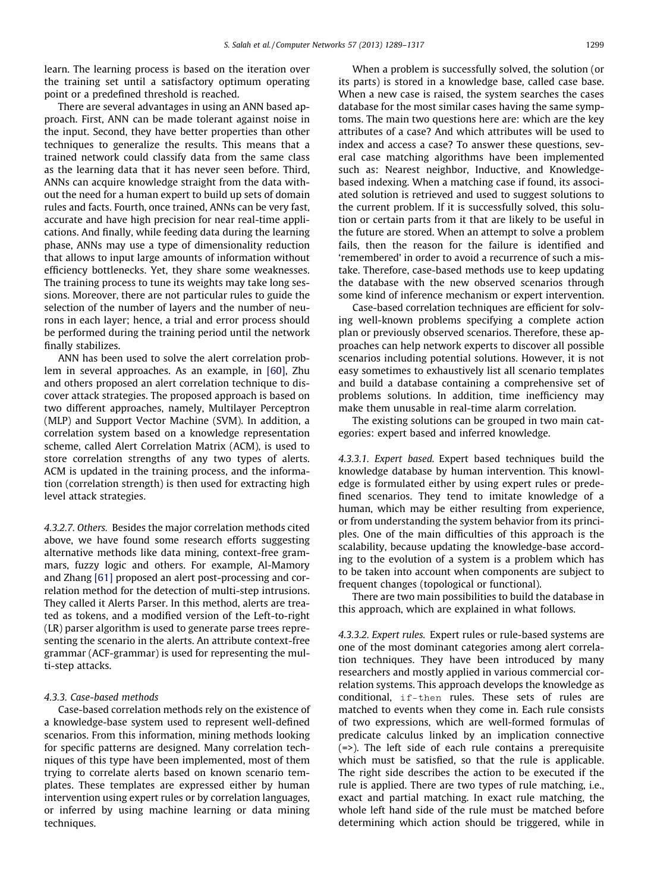learn. The learning process is based on the iteration over the training set until a satisfactory optimum operating point or a predefined threshold is reached.

There are several advantages in using an ANN based approach. First, ANN can be made tolerant against noise in the input. Second, they have better properties than other techniques to generalize the results. This means that a trained network could classify data from the same class as the learning data that it has never seen before. Third, ANNs can acquire knowledge straight from the data without the need for a human expert to build up sets of domain rules and facts. Fourth, once trained, ANNs can be very fast, accurate and have high precision for near real-time applications. And finally, while feeding data during the learning phase, ANNs may use a type of dimensionality reduction that allows to input large amounts of information without efficiency bottlenecks. Yet, they share some weaknesses. The training process to tune its weights may take long sessions. Moreover, there are not particular rules to guide the selection of the number of layers and the number of neurons in each layer; hence, a trial and error process should be performed during the training period until the network finally stabilizes.

ANN has been used to solve the alert correlation problem in several approaches. As an example, in [\[60\],](#page-27-0) Zhu and others proposed an alert correlation technique to discover attack strategies. The proposed approach is based on two different approaches, namely, Multilayer Perceptron (MLP) and Support Vector Machine (SVM). In addition, a correlation system based on a knowledge representation scheme, called Alert Correlation Matrix (ACM), is used to store correlation strengths of any two types of alerts. ACM is updated in the training process, and the information (correlation strength) is then used for extracting high level attack strategies.

4.3.2.7. Others. Besides the major correlation methods cited above, we have found some research efforts suggesting alternative methods like data mining, context-free grammars, fuzzy logic and others. For example, Al-Mamory and Zhang [\[61\]](#page-27-0) proposed an alert post-processing and correlation method for the detection of multi-step intrusions. They called it Alerts Parser. In this method, alerts are treated as tokens, and a modified version of the Left-to-right (LR) parser algorithm is used to generate parse trees representing the scenario in the alerts. An attribute context-free grammar (ACF-grammar) is used for representing the multi-step attacks.

#### 4.3.3. Case-based methods

Case-based correlation methods rely on the existence of a knowledge-base system used to represent well-defined scenarios. From this information, mining methods looking for specific patterns are designed. Many correlation techniques of this type have been implemented, most of them trying to correlate alerts based on known scenario templates. These templates are expressed either by human intervention using expert rules or by correlation languages, or inferred by using machine learning or data mining techniques.

When a problem is successfully solved, the solution (or its parts) is stored in a knowledge base, called case base. When a new case is raised, the system searches the cases database for the most similar cases having the same symptoms. The main two questions here are: which are the key attributes of a case? And which attributes will be used to index and access a case? To answer these questions, several case matching algorithms have been implemented such as: Nearest neighbor, Inductive, and Knowledgebased indexing. When a matching case if found, its associated solution is retrieved and used to suggest solutions to the current problem. If it is successfully solved, this solution or certain parts from it that are likely to be useful in the future are stored. When an attempt to solve a problem fails, then the reason for the failure is identified and 'remembered' in order to avoid a recurrence of such a mistake. Therefore, case-based methods use to keep updating the database with the new observed scenarios through some kind of inference mechanism or expert intervention.

Case-based correlation techniques are efficient for solving well-known problems specifying a complete action plan or previously observed scenarios. Therefore, these approaches can help network experts to discover all possible scenarios including potential solutions. However, it is not easy sometimes to exhaustively list all scenario templates and build a database containing a comprehensive set of problems solutions. In addition, time inefficiency may make them unusable in real-time alarm correlation.

The existing solutions can be grouped in two main categories: expert based and inferred knowledge.

4.3.3.1. Expert based. Expert based techniques build the knowledge database by human intervention. This knowledge is formulated either by using expert rules or predefined scenarios. They tend to imitate knowledge of a human, which may be either resulting from experience, or from understanding the system behavior from its principles. One of the main difficulties of this approach is the scalability, because updating the knowledge-base according to the evolution of a system is a problem which has to be taken into account when components are subject to frequent changes (topological or functional).

There are two main possibilities to build the database in this approach, which are explained in what follows.

4.3.3.2. Expert rules. Expert rules or rule-based systems are one of the most dominant categories among alert correlation techniques. They have been introduced by many researchers and mostly applied in various commercial correlation systems. This approach develops the knowledge as conditional, if-then rules. These sets of rules are matched to events when they come in. Each rule consists of two expressions, which are well-formed formulas of predicate calculus linked by an implication connective (=>). The left side of each rule contains a prerequisite which must be satisfied, so that the rule is applicable. The right side describes the action to be executed if the rule is applied. There are two types of rule matching, i.e., exact and partial matching. In exact rule matching, the whole left hand side of the rule must be matched before determining which action should be triggered, while in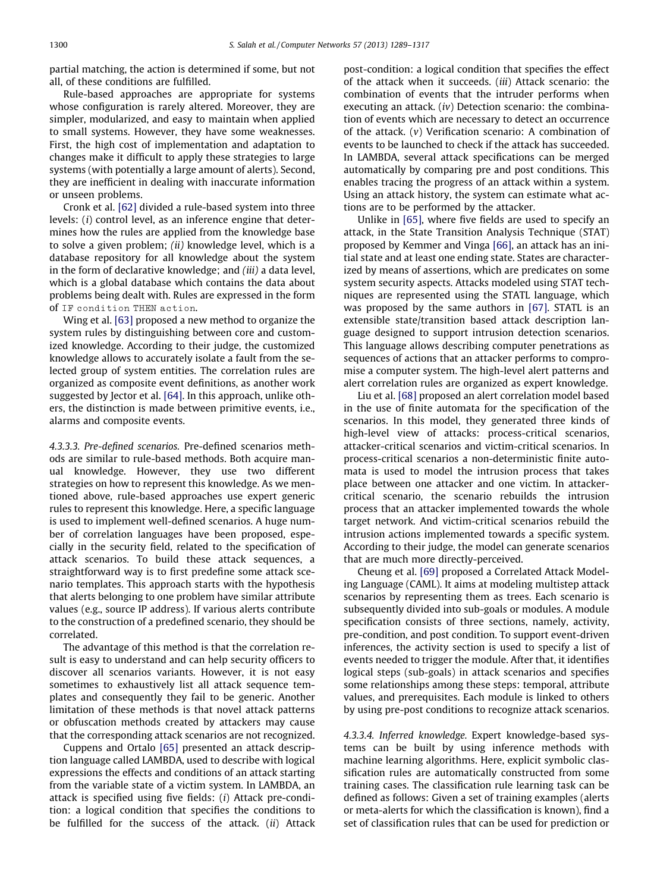partial matching, the action is determined if some, but not all, of these conditions are fulfilled.

Rule-based approaches are appropriate for systems whose configuration is rarely altered. Moreover, they are simpler, modularized, and easy to maintain when applied to small systems. However, they have some weaknesses. First, the high cost of implementation and adaptation to changes make it difficult to apply these strategies to large systems (with potentially a large amount of alerts). Second, they are inefficient in dealing with inaccurate information or unseen problems.

Cronk et al. [\[62\]](#page-27-0) divided a rule-based system into three levels: (i) control level, as an inference engine that determines how the rules are applied from the knowledge base to solve a given problem;  $(ii)$  knowledge level, which is a database repository for all knowledge about the system in the form of declarative knowledge; and *(iii)* a data level, which is a global database which contains the data about problems being dealt with. Rules are expressed in the form of IF condition THEN action.

Wing et al. [\[63\]](#page-28-0) proposed a new method to organize the system rules by distinguishing between core and customized knowledge. According to their judge, the customized knowledge allows to accurately isolate a fault from the selected group of system entities. The correlation rules are organized as composite event definitions, as another work suggested by Jector et al. [\[64\].](#page-28-0) In this approach, unlike others, the distinction is made between primitive events, i.e., alarms and composite events.

4.3.3.3. Pre-defined scenarios. Pre-defined scenarios methods are similar to rule-based methods. Both acquire manual knowledge. However, they use two different strategies on how to represent this knowledge. As we mentioned above, rule-based approaches use expert generic rules to represent this knowledge. Here, a specific language is used to implement well-defined scenarios. A huge number of correlation languages have been proposed, especially in the security field, related to the specification of attack scenarios. To build these attack sequences, a straightforward way is to first predefine some attack scenario templates. This approach starts with the hypothesis that alerts belonging to one problem have similar attribute values (e.g., source IP address). If various alerts contribute to the construction of a predefined scenario, they should be correlated.

The advantage of this method is that the correlation result is easy to understand and can help security officers to discover all scenarios variants. However, it is not easy sometimes to exhaustively list all attack sequence templates and consequently they fail to be generic. Another limitation of these methods is that novel attack patterns or obfuscation methods created by attackers may cause that the corresponding attack scenarios are not recognized.

Cuppens and Ortalo [\[65\]](#page-28-0) presented an attack description language called LAMBDA, used to describe with logical expressions the effects and conditions of an attack starting from the variable state of a victim system. In LAMBDA, an attack is specified using five fields: (i) Attack pre-condition: a logical condition that specifies the conditions to be fulfilled for the success of the attack. (ii) Attack

post-condition: a logical condition that specifies the effect of the attack when it succeeds. (iii) Attack scenario: the combination of events that the intruder performs when executing an attack. (iv) Detection scenario: the combination of events which are necessary to detect an occurrence of the attack.  $(v)$  Verification scenario: A combination of events to be launched to check if the attack has succeeded. In LAMBDA, several attack specifications can be merged automatically by comparing pre and post conditions. This enables tracing the progress of an attack within a system. Using an attack history, the system can estimate what actions are to be performed by the attacker.

Unlike in [\[65\]](#page-28-0), where five fields are used to specify an attack, in the State Transition Analysis Technique (STAT) proposed by Kemmer and Vinga [\[66\],](#page-28-0) an attack has an initial state and at least one ending state. States are characterized by means of assertions, which are predicates on some system security aspects. Attacks modeled using STAT techniques are represented using the STATL language, which was proposed by the same authors in [\[67\].](#page-28-0) STATL is an extensible state/transition based attack description language designed to support intrusion detection scenarios. This language allows describing computer penetrations as sequences of actions that an attacker performs to compromise a computer system. The high-level alert patterns and alert correlation rules are organized as expert knowledge.

Liu et al. [\[68\]](#page-28-0) proposed an alert correlation model based in the use of finite automata for the specification of the scenarios. In this model, they generated three kinds of high-level view of attacks: process-critical scenarios, attacker-critical scenarios and victim-critical scenarios. In process-critical scenarios a non-deterministic finite automata is used to model the intrusion process that takes place between one attacker and one victim. In attackercritical scenario, the scenario rebuilds the intrusion process that an attacker implemented towards the whole target network. And victim-critical scenarios rebuild the intrusion actions implemented towards a specific system. According to their judge, the model can generate scenarios that are much more directly-perceived.

Cheung et al. [\[69\]](#page-28-0) proposed a Correlated Attack Modeling Language (CAML). It aims at modeling multistep attack scenarios by representing them as trees. Each scenario is subsequently divided into sub-goals or modules. A module specification consists of three sections, namely, activity, pre-condition, and post condition. To support event-driven inferences, the activity section is used to specify a list of events needed to trigger the module. After that, it identifies logical steps (sub-goals) in attack scenarios and specifies some relationships among these steps: temporal, attribute values, and prerequisites. Each module is linked to others by using pre-post conditions to recognize attack scenarios.

4.3.3.4. Inferred knowledge. Expert knowledge-based systems can be built by using inference methods with machine learning algorithms. Here, explicit symbolic classification rules are automatically constructed from some training cases. The classification rule learning task can be defined as follows: Given a set of training examples (alerts or meta-alerts for which the classification is known), find a set of classification rules that can be used for prediction or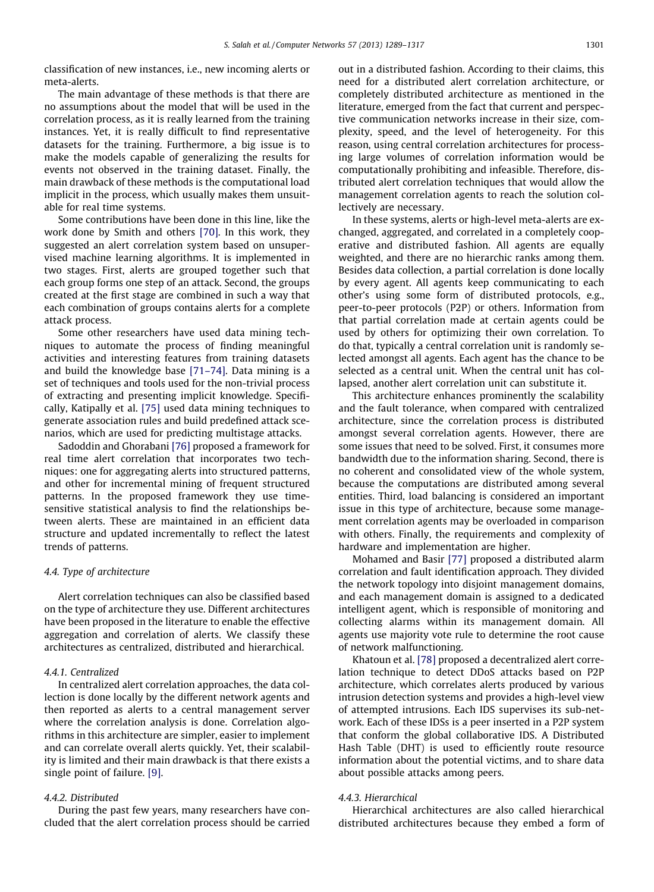classification of new instances, i.e., new incoming alerts or meta-alerts.

The main advantage of these methods is that there are no assumptions about the model that will be used in the correlation process, as it is really learned from the training instances. Yet, it is really difficult to find representative datasets for the training. Furthermore, a big issue is to make the models capable of generalizing the results for events not observed in the training dataset. Finally, the main drawback of these methods is the computational load implicit in the process, which usually makes them unsuitable for real time systems.

Some contributions have been done in this line, like the work done by Smith and others [\[70\].](#page-28-0) In this work, they suggested an alert correlation system based on unsupervised machine learning algorithms. It is implemented in two stages. First, alerts are grouped together such that each group forms one step of an attack. Second, the groups created at the first stage are combined in such a way that each combination of groups contains alerts for a complete attack process.

Some other researchers have used data mining techniques to automate the process of finding meaningful activities and interesting features from training datasets and build the knowledge base [\[71–74\].](#page-28-0) Data mining is a set of techniques and tools used for the non-trivial process of extracting and presenting implicit knowledge. Specifically, Katipally et al. [\[75\]](#page-28-0) used data mining techniques to generate association rules and build predefined attack scenarios, which are used for predicting multistage attacks.

Sadoddin and Ghorabani [\[76\]](#page-28-0) proposed a framework for real time alert correlation that incorporates two techniques: one for aggregating alerts into structured patterns, and other for incremental mining of frequent structured patterns. In the proposed framework they use timesensitive statistical analysis to find the relationships between alerts. These are maintained in an efficient data structure and updated incrementally to reflect the latest trends of patterns.

# 4.4. Type of architecture

Alert correlation techniques can also be classified based on the type of architecture they use. Different architectures have been proposed in the literature to enable the effective aggregation and correlation of alerts. We classify these architectures as centralized, distributed and hierarchical.

# 4.4.1. Centralized

In centralized alert correlation approaches, the data collection is done locally by the different network agents and then reported as alerts to a central management server where the correlation analysis is done. Correlation algorithms in this architecture are simpler, easier to implement and can correlate overall alerts quickly. Yet, their scalability is limited and their main drawback is that there exists a single point of failure. [\[9\]](#page-26-0).

# 4.4.2. Distributed

During the past few years, many researchers have concluded that the alert correlation process should be carried out in a distributed fashion. According to their claims, this need for a distributed alert correlation architecture, or completely distributed architecture as mentioned in the literature, emerged from the fact that current and perspective communication networks increase in their size, complexity, speed, and the level of heterogeneity. For this reason, using central correlation architectures for processing large volumes of correlation information would be computationally prohibiting and infeasible. Therefore, distributed alert correlation techniques that would allow the management correlation agents to reach the solution collectively are necessary.

In these systems, alerts or high-level meta-alerts are exchanged, aggregated, and correlated in a completely cooperative and distributed fashion. All agents are equally weighted, and there are no hierarchic ranks among them. Besides data collection, a partial correlation is done locally by every agent. All agents keep communicating to each other's using some form of distributed protocols, e.g., peer-to-peer protocols (P2P) or others. Information from that partial correlation made at certain agents could be used by others for optimizing their own correlation. To do that, typically a central correlation unit is randomly selected amongst all agents. Each agent has the chance to be selected as a central unit. When the central unit has collapsed, another alert correlation unit can substitute it.

This architecture enhances prominently the scalability and the fault tolerance, when compared with centralized architecture, since the correlation process is distributed amongst several correlation agents. However, there are some issues that need to be solved. First, it consumes more bandwidth due to the information sharing. Second, there is no coherent and consolidated view of the whole system, because the computations are distributed among several entities. Third, load balancing is considered an important issue in this type of architecture, because some management correlation agents may be overloaded in comparison with others. Finally, the requirements and complexity of hardware and implementation are higher.

Mohamed and Basir [\[77\]](#page-28-0) proposed a distributed alarm correlation and fault identification approach. They divided the network topology into disjoint management domains, and each management domain is assigned to a dedicated intelligent agent, which is responsible of monitoring and collecting alarms within its management domain. All agents use majority vote rule to determine the root cause of network malfunctioning.

Khatoun et al. [\[78\]](#page-28-0) proposed a decentralized alert correlation technique to detect DDoS attacks based on P2P architecture, which correlates alerts produced by various intrusion detection systems and provides a high-level view of attempted intrusions. Each IDS supervises its sub-network. Each of these IDSs is a peer inserted in a P2P system that conform the global collaborative IDS. A Distributed Hash Table (DHT) is used to efficiently route resource information about the potential victims, and to share data about possible attacks among peers.

#### 4.4.3. Hierarchical

Hierarchical architectures are also called hierarchical distributed architectures because they embed a form of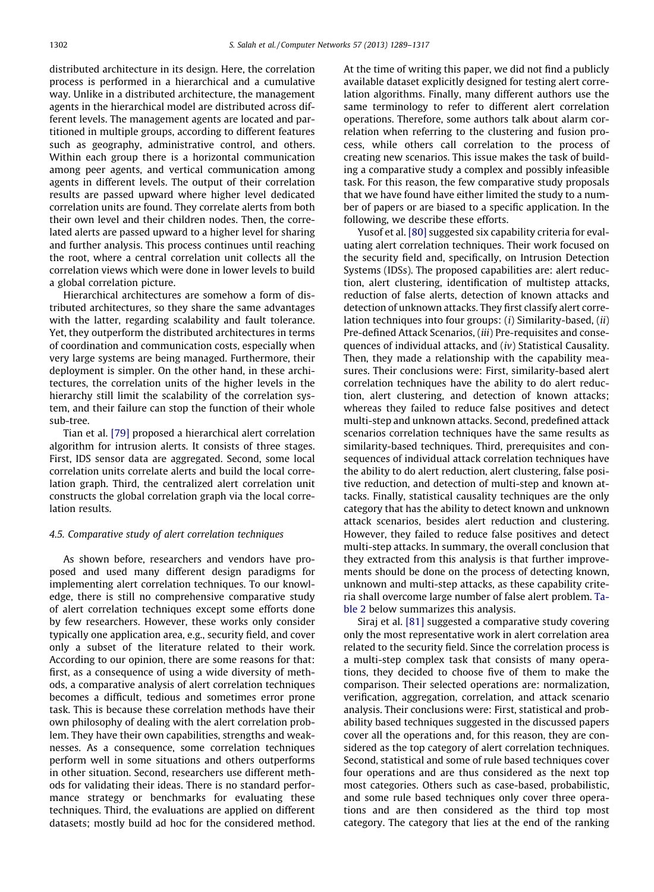distributed architecture in its design. Here, the correlation process is performed in a hierarchical and a cumulative way. Unlike in a distributed architecture, the management agents in the hierarchical model are distributed across different levels. The management agents are located and partitioned in multiple groups, according to different features such as geography, administrative control, and others. Within each group there is a horizontal communication among peer agents, and vertical communication among agents in different levels. The output of their correlation results are passed upward where higher level dedicated correlation units are found. They correlate alerts from both their own level and their children nodes. Then, the correlated alerts are passed upward to a higher level for sharing and further analysis. This process continues until reaching the root, where a central correlation unit collects all the correlation views which were done in lower levels to build a global correlation picture.

Hierarchical architectures are somehow a form of distributed architectures, so they share the same advantages with the latter, regarding scalability and fault tolerance. Yet, they outperform the distributed architectures in terms of coordination and communication costs, especially when very large systems are being managed. Furthermore, their deployment is simpler. On the other hand, in these architectures, the correlation units of the higher levels in the hierarchy still limit the scalability of the correlation system, and their failure can stop the function of their whole sub-tree.

Tian et al. [\[79\]](#page-28-0) proposed a hierarchical alert correlation algorithm for intrusion alerts. It consists of three stages. First, IDS sensor data are aggregated. Second, some local correlation units correlate alerts and build the local correlation graph. Third, the centralized alert correlation unit constructs the global correlation graph via the local correlation results.

### 4.5. Comparative study of alert correlation techniques

As shown before, researchers and vendors have proposed and used many different design paradigms for implementing alert correlation techniques. To our knowledge, there is still no comprehensive comparative study of alert correlation techniques except some efforts done by few researchers. However, these works only consider typically one application area, e.g., security field, and cover only a subset of the literature related to their work. According to our opinion, there are some reasons for that: first, as a consequence of using a wide diversity of methods, a comparative analysis of alert correlation techniques becomes a difficult, tedious and sometimes error prone task. This is because these correlation methods have their own philosophy of dealing with the alert correlation problem. They have their own capabilities, strengths and weaknesses. As a consequence, some correlation techniques perform well in some situations and others outperforms in other situation. Second, researchers use different methods for validating their ideas. There is no standard performance strategy or benchmarks for evaluating these techniques. Third, the evaluations are applied on different datasets; mostly build ad hoc for the considered method. At the time of writing this paper, we did not find a publicly available dataset explicitly designed for testing alert correlation algorithms. Finally, many different authors use the same terminology to refer to different alert correlation operations. Therefore, some authors talk about alarm correlation when referring to the clustering and fusion process, while others call correlation to the process of creating new scenarios. This issue makes the task of building a comparative study a complex and possibly infeasible task. For this reason, the few comparative study proposals that we have found have either limited the study to a number of papers or are biased to a specific application. In the following, we describe these efforts.

Yusof et al. [\[80\]](#page-28-0) suggested six capability criteria for evaluating alert correlation techniques. Their work focused on the security field and, specifically, on Intrusion Detection Systems (IDSs). The proposed capabilities are: alert reduction, alert clustering, identification of multistep attacks, reduction of false alerts, detection of known attacks and detection of unknown attacks. They first classify alert correlation techniques into four groups:  $(i)$  Similarity-based,  $(ii)$ Pre-defined Attack Scenarios, (iii) Pre-requisites and consequences of individual attacks, and (iv) Statistical Causality. Then, they made a relationship with the capability measures. Their conclusions were: First, similarity-based alert correlation techniques have the ability to do alert reduction, alert clustering, and detection of known attacks; whereas they failed to reduce false positives and detect multi-step and unknown attacks. Second, predefined attack scenarios correlation techniques have the same results as similarity-based techniques. Third, prerequisites and consequences of individual attack correlation techniques have the ability to do alert reduction, alert clustering, false positive reduction, and detection of multi-step and known attacks. Finally, statistical causality techniques are the only category that has the ability to detect known and unknown attack scenarios, besides alert reduction and clustering. However, they failed to reduce false positives and detect multi-step attacks. In summary, the overall conclusion that they extracted from this analysis is that further improvements should be done on the process of detecting known, unknown and multi-step attacks, as these capability criteria shall overcome large number of false alert problem. [Ta](#page-14-0)[ble 2](#page-14-0) below summarizes this analysis.

Siraj et al. [\[81\]](#page-28-0) suggested a comparative study covering only the most representative work in alert correlation area related to the security field. Since the correlation process is a multi-step complex task that consists of many operations, they decided to choose five of them to make the comparison. Their selected operations are: normalization, verification, aggregation, correlation, and attack scenario analysis. Their conclusions were: First, statistical and probability based techniques suggested in the discussed papers cover all the operations and, for this reason, they are considered as the top category of alert correlation techniques. Second, statistical and some of rule based techniques cover four operations and are thus considered as the next top most categories. Others such as case-based, probabilistic, and some rule based techniques only cover three operations and are then considered as the third top most category. The category that lies at the end of the ranking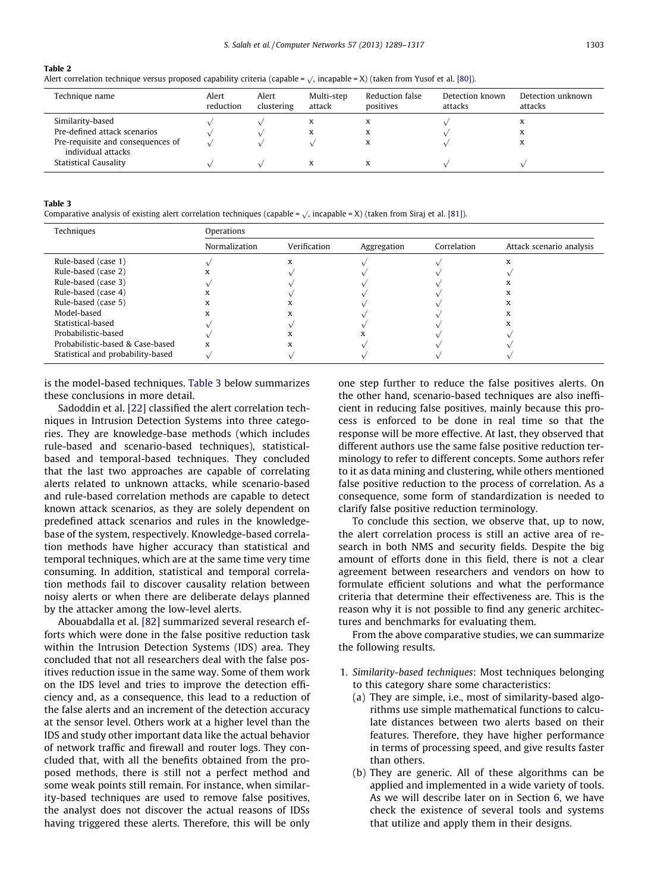#### <span id="page-14-0"></span>Table 2

Alert correlation technique versus proposed capability criteria (capable =  $\sqrt{ }$ , incapable = X) (taken from Yusof et al. [\[80\]\)](#page-28-0).

| Technique name                                                                                              | Alert<br>reduction | Alert<br>clustering | Multi-step<br>attack | Reduction false<br>positives | Detection known<br>attacks | Detection unknown<br>attacks |
|-------------------------------------------------------------------------------------------------------------|--------------------|---------------------|----------------------|------------------------------|----------------------------|------------------------------|
| Similarity-based<br>Pre-defined attack scenarios<br>Pre-requisite and consequences of<br>individual attacks |                    |                     | A<br>л               |                              |                            | A                            |
| <b>Statistical Causality</b>                                                                                |                    |                     | x                    | x                            |                            |                              |

#### Table 3

Comparative analysis of existing alert correlation techniques (capable =  $\sqrt{ }$ , incapable = X) (taken from Siraj et al. [\[81\]](#page-28-0)).

| Techniques                        | Operations    |              |             |             |                          |  |  |  |
|-----------------------------------|---------------|--------------|-------------|-------------|--------------------------|--|--|--|
|                                   | Normalization | Verification | Aggregation | Correlation | Attack scenario analysis |  |  |  |
| Rule-based (case 1)               |               |              |             |             |                          |  |  |  |
| Rule-based (case 2)               |               |              |             |             |                          |  |  |  |
| Rule-based (case 3)               |               |              |             |             |                          |  |  |  |
| Rule-based (case 4)               |               |              |             |             |                          |  |  |  |
| Rule-based (case 5)               |               |              |             |             |                          |  |  |  |
| Model-based                       |               |              |             |             |                          |  |  |  |
| Statistical-based                 |               |              |             |             |                          |  |  |  |
| Probabilistic-based               |               |              |             |             |                          |  |  |  |
| Probabilistic-based & Case-based  |               |              |             |             |                          |  |  |  |
| Statistical and probability-based |               |              |             |             |                          |  |  |  |

is the model-based techniques. Table 3 below summarizes these conclusions in more detail.

Sadoddin et al. [\[22\]](#page-27-0) classified the alert correlation techniques in Intrusion Detection Systems into three categories. They are knowledge-base methods (which includes rule-based and scenario-based techniques), statisticalbased and temporal-based techniques. They concluded that the last two approaches are capable of correlating alerts related to unknown attacks, while scenario-based and rule-based correlation methods are capable to detect known attack scenarios, as they are solely dependent on predefined attack scenarios and rules in the knowledgebase of the system, respectively. Knowledge-based correlation methods have higher accuracy than statistical and temporal techniques, which are at the same time very time consuming. In addition, statistical and temporal correlation methods fail to discover causality relation between noisy alerts or when there are deliberate delays planned by the attacker among the low-level alerts.

Abouabdalla et al. [\[82\]](#page-28-0) summarized several research efforts which were done in the false positive reduction task within the Intrusion Detection Systems (IDS) area. They concluded that not all researchers deal with the false positives reduction issue in the same way. Some of them work on the IDS level and tries to improve the detection efficiency and, as a consequence, this lead to a reduction of the false alerts and an increment of the detection accuracy at the sensor level. Others work at a higher level than the IDS and study other important data like the actual behavior of network traffic and firewall and router logs. They concluded that, with all the benefits obtained from the proposed methods, there is still not a perfect method and some weak points still remain. For instance, when similarity-based techniques are used to remove false positives, the analyst does not discover the actual reasons of IDSs having triggered these alerts. Therefore, this will be only one step further to reduce the false positives alerts. On the other hand, scenario-based techniques are also inefficient in reducing false positives, mainly because this process is enforced to be done in real time so that the response will be more effective. At last, they observed that different authors use the same false positive reduction terminology to refer to different concepts. Some authors refer to it as data mining and clustering, while others mentioned false positive reduction to the process of correlation. As a consequence, some form of standardization is needed to clarify false positive reduction terminology.

To conclude this section, we observe that, up to now, the alert correlation process is still an active area of research in both NMS and security fields. Despite the big amount of efforts done in this field, there is not a clear agreement between researchers and vendors on how to formulate efficient solutions and what the performance criteria that determine their effectiveness are. This is the reason why it is not possible to find any generic architectures and benchmarks for evaluating them.

From the above comparative studies, we can summarize the following results.

- 1. Similarity-based techniques: Most techniques belonging to this category share some characteristics:
	- (a) They are simple, i.e., most of similarity-based algorithms use simple mathematical functions to calculate distances between two alerts based on their features. Therefore, they have higher performance in terms of processing speed, and give results faster than others.
	- (b) They are generic. All of these algorithms can be applied and implemented in a wide variety of tools. As we will describe later on in Section 6, we have check the existence of several tools and systems that utilize and apply them in their designs.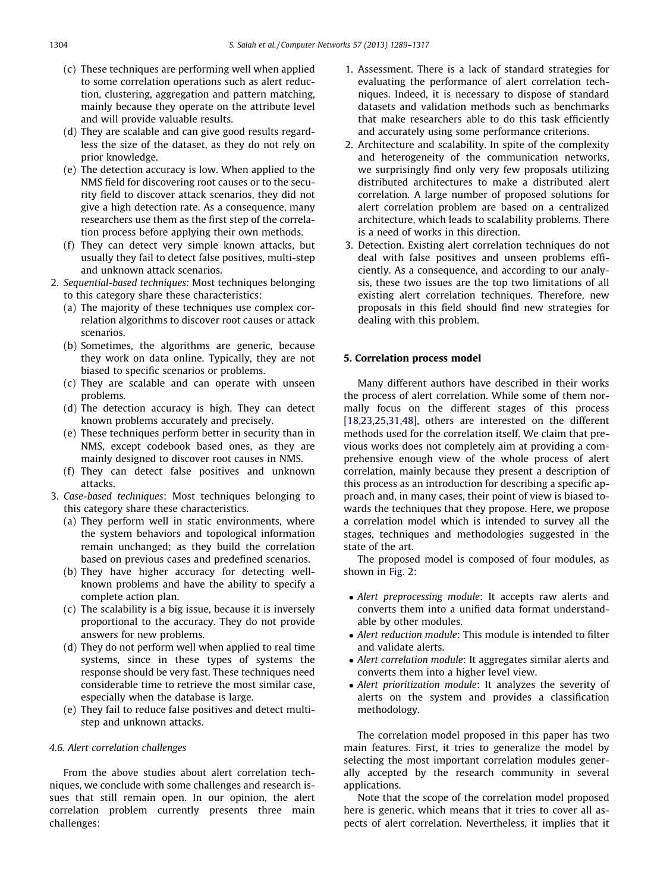- (c) These techniques are performing well when applied to some correlation operations such as alert reduction, clustering, aggregation and pattern matching, mainly because they operate on the attribute level and will provide valuable results.
- (d) They are scalable and can give good results regardless the size of the dataset, as they do not rely on prior knowledge.
- (e) The detection accuracy is low. When applied to the NMS field for discovering root causes or to the security field to discover attack scenarios, they did not give a high detection rate. As a consequence, many researchers use them as the first step of the correlation process before applying their own methods.
- (f) They can detect very simple known attacks, but usually they fail to detect false positives, multi-step and unknown attack scenarios.
- 2. Sequential-based techniques: Most techniques belonging to this category share these characteristics:
	- (a) The majority of these techniques use complex correlation algorithms to discover root causes or attack scenarios.
	- (b) Sometimes, the algorithms are generic, because they work on data online. Typically, they are not biased to specific scenarios or problems.
	- (c) They are scalable and can operate with unseen problems.
	- (d) The detection accuracy is high. They can detect known problems accurately and precisely.
	- (e) These techniques perform better in security than in NMS, except codebook based ones, as they are mainly designed to discover root causes in NMS.
	- (f) They can detect false positives and unknown attacks.
- 3. Case-based techniques: Most techniques belonging to this category share these characteristics.
	- (a) They perform well in static environments, where the system behaviors and topological information remain unchanged; as they build the correlation based on previous cases and predefined scenarios.
	- (b) They have higher accuracy for detecting wellknown problems and have the ability to specify a complete action plan.
	- (c) The scalability is a big issue, because it is inversely proportional to the accuracy. They do not provide answers for new problems.
	- (d) They do not perform well when applied to real time systems, since in these types of systems the response should be very fast. These techniques need considerable time to retrieve the most similar case, especially when the database is large.
	- (e) They fail to reduce false positives and detect multistep and unknown attacks.

#### 4.6. Alert correlation challenges

From the above studies about alert correlation techniques, we conclude with some challenges and research issues that still remain open. In our opinion, the alert correlation problem currently presents three main challenges:

- 1. Assessment. There is a lack of standard strategies for evaluating the performance of alert correlation techniques. Indeed, it is necessary to dispose of standard datasets and validation methods such as benchmarks that make researchers able to do this task efficiently and accurately using some performance criterions.
- 2. Architecture and scalability. In spite of the complexity and heterogeneity of the communication networks, we surprisingly find only very few proposals utilizing distributed architectures to make a distributed alert correlation. A large number of proposed solutions for alert correlation problem are based on a centralized architecture, which leads to scalability problems. There is a need of works in this direction.
- 3. Detection. Existing alert correlation techniques do not deal with false positives and unseen problems efficiently. As a consequence, and according to our analysis, these two issues are the top two limitations of all existing alert correlation techniques. Therefore, new proposals in this field should find new strategies for dealing with this problem.

### 5. Correlation process model

Many different authors have described in their works the process of alert correlation. While some of them normally focus on the different stages of this process [\[18,23,25,31,48\]](#page-27-0), others are interested on the different methods used for the correlation itself. We claim that previous works does not completely aim at providing a comprehensive enough view of the whole process of alert correlation, mainly because they present a description of this process as an introduction for describing a specific approach and, in many cases, their point of view is biased towards the techniques that they propose. Here, we propose a correlation model which is intended to survey all the stages, techniques and methodologies suggested in the state of the art.

The proposed model is composed of four modules, as shown in [Fig. 2](#page-16-0):

- Alert preprocessing module: It accepts raw alerts and converts them into a unified data format understandable by other modules.
- Alert reduction module: This module is intended to filter and validate alerts.
- Alert correlation module: It aggregates similar alerts and converts them into a higher level view.
- Alert prioritization module: It analyzes the severity of alerts on the system and provides a classification methodology.

The correlation model proposed in this paper has two main features. First, it tries to generalize the model by selecting the most important correlation modules generally accepted by the research community in several applications.

Note that the scope of the correlation model proposed here is generic, which means that it tries to cover all aspects of alert correlation. Nevertheless, it implies that it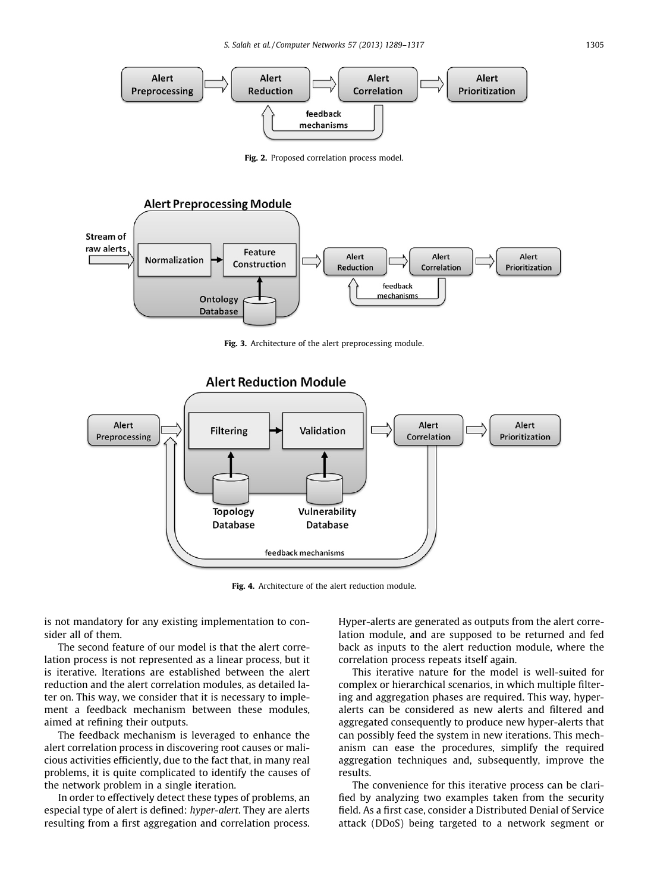<span id="page-16-0"></span>

Fig. 2. Proposed correlation process model.



Fig. 3. Architecture of the alert preprocessing module.



Fig. 4. Architecture of the alert reduction module.

is not mandatory for any existing implementation to consider all of them.

The second feature of our model is that the alert correlation process is not represented as a linear process, but it is iterative. Iterations are established between the alert reduction and the alert correlation modules, as detailed later on. This way, we consider that it is necessary to implement a feedback mechanism between these modules, aimed at refining their outputs.

The feedback mechanism is leveraged to enhance the alert correlation process in discovering root causes or malicious activities efficiently, due to the fact that, in many real problems, it is quite complicated to identify the causes of the network problem in a single iteration.

In order to effectively detect these types of problems, an especial type of alert is defined: hyper-alert. They are alerts resulting from a first aggregation and correlation process. Hyper-alerts are generated as outputs from the alert correlation module, and are supposed to be returned and fed back as inputs to the alert reduction module, where the correlation process repeats itself again.

This iterative nature for the model is well-suited for complex or hierarchical scenarios, in which multiple filtering and aggregation phases are required. This way, hyperalerts can be considered as new alerts and filtered and aggregated consequently to produce new hyper-alerts that can possibly feed the system in new iterations. This mechanism can ease the procedures, simplify the required aggregation techniques and, subsequently, improve the results.

The convenience for this iterative process can be clarified by analyzing two examples taken from the security field. As a first case, consider a Distributed Denial of Service attack (DDoS) being targeted to a network segment or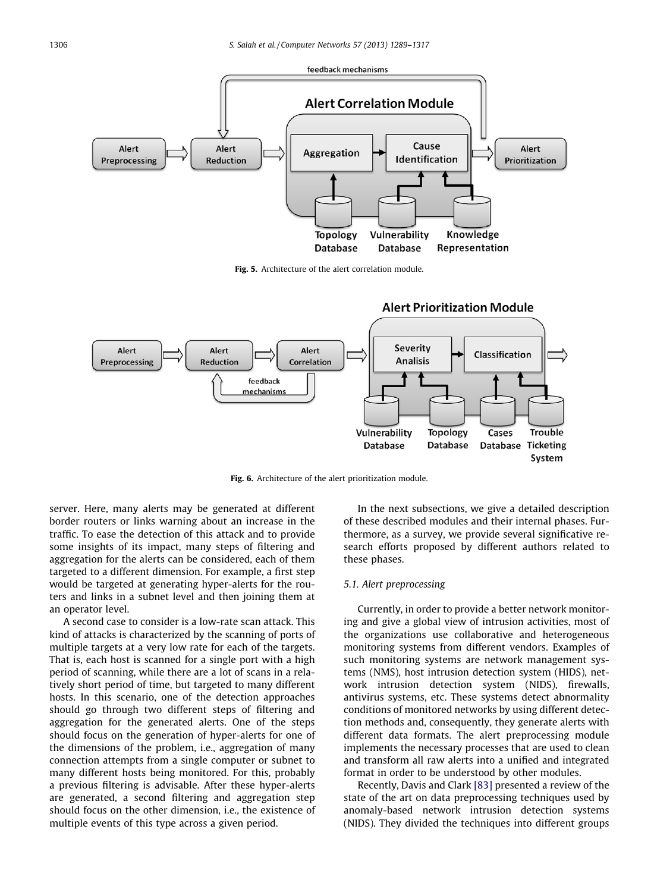<span id="page-17-0"></span>

Fig. 5. Architecture of the alert correlation module.



Fig. 6. Architecture of the alert prioritization module.

server. Here, many alerts may be generated at different border routers or links warning about an increase in the traffic. To ease the detection of this attack and to provide some insights of its impact, many steps of filtering and aggregation for the alerts can be considered, each of them targeted to a different dimension. For example, a first step would be targeted at generating hyper-alerts for the routers and links in a subnet level and then joining them at an operator level.

A second case to consider is a low-rate scan attack. This kind of attacks is characterized by the scanning of ports of multiple targets at a very low rate for each of the targets. That is, each host is scanned for a single port with a high period of scanning, while there are a lot of scans in a relatively short period of time, but targeted to many different hosts. In this scenario, one of the detection approaches should go through two different steps of filtering and aggregation for the generated alerts. One of the steps should focus on the generation of hyper-alerts for one of the dimensions of the problem, i.e., aggregation of many connection attempts from a single computer or subnet to many different hosts being monitored. For this, probably a previous filtering is advisable. After these hyper-alerts are generated, a second filtering and aggregation step should focus on the other dimension, i.e., the existence of multiple events of this type across a given period.

In the next subsections, we give a detailed description of these described modules and their internal phases. Furthermore, as a survey, we provide several significative research efforts proposed by different authors related to these phases.

#### 5.1. Alert preprocessing

Currently, in order to provide a better network monitoring and give a global view of intrusion activities, most of the organizations use collaborative and heterogeneous monitoring systems from different vendors. Examples of such monitoring systems are network management systems (NMS), host intrusion detection system (HIDS), network intrusion detection system (NIDS), firewalls, antivirus systems, etc. These systems detect abnormality conditions of monitored networks by using different detection methods and, consequently, they generate alerts with different data formats. The alert preprocessing module implements the necessary processes that are used to clean and transform all raw alerts into a unified and integrated format in order to be understood by other modules.

Recently, Davis and Clark [\[83\]](#page-28-0) presented a review of the state of the art on data preprocessing techniques used by anomaly-based network intrusion detection systems (NIDS). They divided the techniques into different groups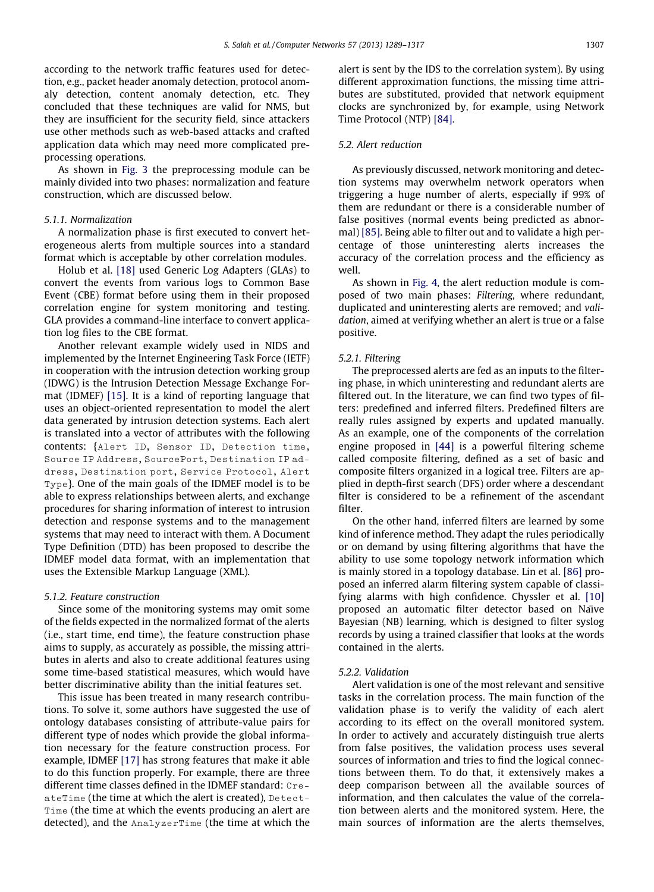according to the network traffic features used for detection, e.g., packet header anomaly detection, protocol anomaly detection, content anomaly detection, etc. They concluded that these techniques are valid for NMS, but they are insufficient for the security field, since attackers use other methods such as web-based attacks and crafted application data which may need more complicated preprocessing operations.

As shown in [Fig. 3](#page-16-0) the preprocessing module can be mainly divided into two phases: normalization and feature construction, which are discussed below.

#### 5.1.1. Normalization

A normalization phase is first executed to convert heterogeneous alerts from multiple sources into a standard format which is acceptable by other correlation modules.

Holub et al. [\[18\]](#page-27-0) used Generic Log Adapters (GLAs) to convert the events from various logs to Common Base Event (CBE) format before using them in their proposed correlation engine for system monitoring and testing. GLA provides a command-line interface to convert application log files to the CBE format.

Another relevant example widely used in NIDS and implemented by the Internet Engineering Task Force (IETF) in cooperation with the intrusion detection working group (IDWG) is the Intrusion Detection Message Exchange Format (IDMEF) [\[15\].](#page-27-0) It is a kind of reporting language that uses an object-oriented representation to model the alert data generated by intrusion detection systems. Each alert is translated into a vector of attributes with the following contents: {Alert ID, Sensor ID, Detection time, Source IP Address, SourcePort, Destination IP address, Destination port, Service Protocol, Alert Type}. One of the main goals of the IDMEF model is to be able to express relationships between alerts, and exchange procedures for sharing information of interest to intrusion detection and response systems and to the management systems that may need to interact with them. A Document Type Definition (DTD) has been proposed to describe the IDMEF model data format, with an implementation that uses the Extensible Markup Language (XML).

#### 5.1.2. Feature construction

Since some of the monitoring systems may omit some of the fields expected in the normalized format of the alerts (i.e., start time, end time), the feature construction phase aims to supply, as accurately as possible, the missing attributes in alerts and also to create additional features using some time-based statistical measures, which would have better discriminative ability than the initial features set.

This issue has been treated in many research contributions. To solve it, some authors have suggested the use of ontology databases consisting of attribute-value pairs for different type of nodes which provide the global information necessary for the feature construction process. For example, IDMEF [\[17\]](#page-27-0) has strong features that make it able to do this function properly. For example, there are three different time classes defined in the IDMEF standard: CreateTime (the time at which the alert is created), Detect-Time (the time at which the events producing an alert are detected), and the AnalyzerTime (the time at which the alert is sent by the IDS to the correlation system). By using different approximation functions, the missing time attributes are substituted, provided that network equipment clocks are synchronized by, for example, using Network Time Protocol (NTP) [\[84\].](#page-28-0)

#### 5.2. Alert reduction

As previously discussed, network monitoring and detection systems may overwhelm network operators when triggering a huge number of alerts, especially if 99% of them are redundant or there is a considerable number of false positives (normal events being predicted as abnormal) [\[85\].](#page-28-0) Being able to filter out and to validate a high percentage of those uninteresting alerts increases the accuracy of the correlation process and the efficiency as well.

As shown in [Fig. 4](#page-16-0), the alert reduction module is composed of two main phases: Filtering, where redundant, duplicated and uninteresting alerts are removed; and validation, aimed at verifying whether an alert is true or a false positive.

#### 5.2.1. Filtering

The preprocessed alerts are fed as an inputs to the filtering phase, in which uninteresting and redundant alerts are filtered out. In the literature, we can find two types of filters: predefined and inferred filters. Predefined filters are really rules assigned by experts and updated manually. As an example, one of the components of the correlation engine proposed in [\[44\]](#page-27-0) is a powerful filtering scheme called composite filtering, defined as a set of basic and composite filters organized in a logical tree. Filters are applied in depth-first search (DFS) order where a descendant filter is considered to be a refinement of the ascendant filter.

On the other hand, inferred filters are learned by some kind of inference method. They adapt the rules periodically or on demand by using filtering algorithms that have the ability to use some topology network information which is mainly stored in a topology database. Lin et al. [\[86\]](#page-28-0) proposed an inferred alarm filtering system capable of classifying alarms with high confidence. Chyssler et al. [\[10\]](#page-26-0) proposed an automatic filter detector based on Naïve Bayesian (NB) learning, which is designed to filter syslog records by using a trained classifier that looks at the words contained in the alerts.

# 5.2.2. Validation

Alert validation is one of the most relevant and sensitive tasks in the correlation process. The main function of the validation phase is to verify the validity of each alert according to its effect on the overall monitored system. In order to actively and accurately distinguish true alerts from false positives, the validation process uses several sources of information and tries to find the logical connections between them. To do that, it extensively makes a deep comparison between all the available sources of information, and then calculates the value of the correlation between alerts and the monitored system. Here, the main sources of information are the alerts themselves,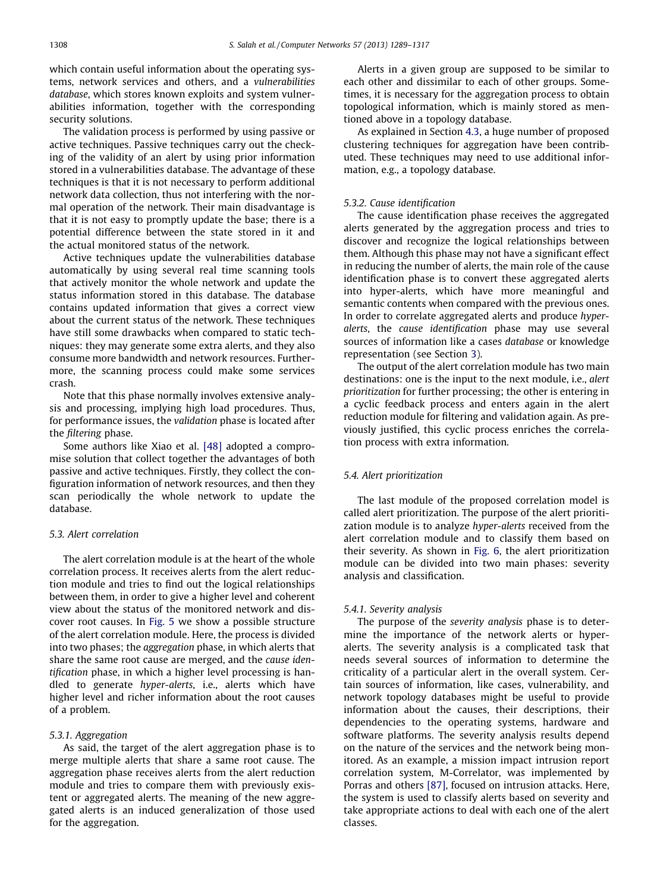which contain useful information about the operating systems, network services and others, and a vulnerabilities database, which stores known exploits and system vulnerabilities information, together with the corresponding security solutions.

The validation process is performed by using passive or active techniques. Passive techniques carry out the checking of the validity of an alert by using prior information stored in a vulnerabilities database. The advantage of these techniques is that it is not necessary to perform additional network data collection, thus not interfering with the normal operation of the network. Their main disadvantage is that it is not easy to promptly update the base; there is a potential difference between the state stored in it and the actual monitored status of the network.

Active techniques update the vulnerabilities database automatically by using several real time scanning tools that actively monitor the whole network and update the status information stored in this database. The database contains updated information that gives a correct view about the current status of the network. These techniques have still some drawbacks when compared to static techniques: they may generate some extra alerts, and they also consume more bandwidth and network resources. Furthermore, the scanning process could make some services crash.

Note that this phase normally involves extensive analysis and processing, implying high load procedures. Thus, for performance issues, the validation phase is located after the filtering phase.

Some authors like Xiao et al. [\[48\]](#page-27-0) adopted a compromise solution that collect together the advantages of both passive and active techniques. Firstly, they collect the configuration information of network resources, and then they scan periodically the whole network to update the database.

# 5.3. Alert correlation

The alert correlation module is at the heart of the whole correlation process. It receives alerts from the alert reduction module and tries to find out the logical relationships between them, in order to give a higher level and coherent view about the status of the monitored network and discover root causes. In [Fig. 5](#page-17-0) we show a possible structure of the alert correlation module. Here, the process is divided into two phases; the aggregation phase, in which alerts that share the same root cause are merged, and the cause identification phase, in which a higher level processing is handled to generate hyper-alerts, i.e., alerts which have higher level and richer information about the root causes of a problem.

# 5.3.1. Aggregation

As said, the target of the alert aggregation phase is to merge multiple alerts that share a same root cause. The aggregation phase receives alerts from the alert reduction module and tries to compare them with previously existent or aggregated alerts. The meaning of the new aggregated alerts is an induced generalization of those used for the aggregation.

Alerts in a given group are supposed to be similar to each other and dissimilar to each of other groups. Sometimes, it is necessary for the aggregation process to obtain topological information, which is mainly stored as mentioned above in a topology database.

As explained in Section 4.3, a huge number of proposed clustering techniques for aggregation have been contributed. These techniques may need to use additional information, e.g., a topology database.

#### 5.3.2. Cause identification

The cause identification phase receives the aggregated alerts generated by the aggregation process and tries to discover and recognize the logical relationships between them. Although this phase may not have a significant effect in reducing the number of alerts, the main role of the cause identification phase is to convert these aggregated alerts into hyper-alerts, which have more meaningful and semantic contents when compared with the previous ones. In order to correlate aggregated alerts and produce hyperalerts, the cause identification phase may use several sources of information like a cases database or knowledge representation (see Section 3).

The output of the alert correlation module has two main destinations: one is the input to the next module, i.e., alert prioritization for further processing; the other is entering in a cyclic feedback process and enters again in the alert reduction module for filtering and validation again. As previously justified, this cyclic process enriches the correlation process with extra information.

#### 5.4. Alert prioritization

The last module of the proposed correlation model is called alert prioritization. The purpose of the alert prioritization module is to analyze hyper-alerts received from the alert correlation module and to classify them based on their severity. As shown in [Fig. 6,](#page-17-0) the alert prioritization module can be divided into two main phases: severity analysis and classification.

#### 5.4.1. Severity analysis

The purpose of the severity analysis phase is to determine the importance of the network alerts or hyperalerts. The severity analysis is a complicated task that needs several sources of information to determine the criticality of a particular alert in the overall system. Certain sources of information, like cases, vulnerability, and network topology databases might be useful to provide information about the causes, their descriptions, their dependencies to the operating systems, hardware and software platforms. The severity analysis results depend on the nature of the services and the network being monitored. As an example, a mission impact intrusion report correlation system, M-Correlator, was implemented by Porras and others [\[87\]](#page-28-0), focused on intrusion attacks. Here, the system is used to classify alerts based on severity and take appropriate actions to deal with each one of the alert classes.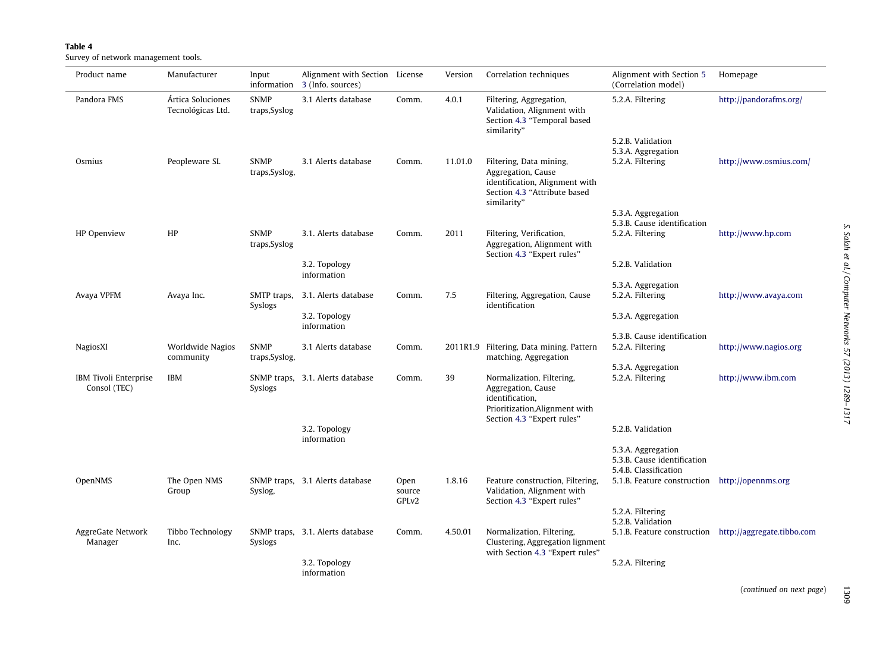# <span id="page-20-0"></span>Table 4

Survey of network management tools.

| Product name                          | Manufacturer                           | Input                         | Alignment with Section License<br>information 3 (Info. sources) |                         | Version | Correlation techniques                                                                                                         | Alignment with Section 5<br>(Correlation model)                            | Homepage                                               |
|---------------------------------------|----------------------------------------|-------------------------------|-----------------------------------------------------------------|-------------------------|---------|--------------------------------------------------------------------------------------------------------------------------------|----------------------------------------------------------------------------|--------------------------------------------------------|
| Pandora FMS                           | Ártica Soluciones<br>Tecnológicas Ltd. | <b>SNMP</b><br>traps, Syslog  | 3.1 Alerts database                                             | Comm.                   | 4.0.1   | Filtering, Aggregation,<br>Validation, Alignment with<br>Section 4.3 "Temporal based<br>similarity"                            | 5.2.A. Filtering                                                           | http://pandorafms.org/                                 |
|                                       |                                        |                               |                                                                 |                         |         |                                                                                                                                | 5.2.B. Validation<br>5.3.A. Aggregation                                    |                                                        |
| Osmius                                | Peopleware SL                          | SNMP<br>traps,Syslog,         | 3.1 Alerts database                                             | Comm.                   | 11.01.0 | Filtering, Data mining,<br>Aggregation, Cause<br>identification, Alignment with<br>Section 4.3 "Attribute based<br>similarity" | 5.2.A. Filtering                                                           | http://www.osmius.com/                                 |
|                                       |                                        |                               |                                                                 |                         |         |                                                                                                                                | 5.3.A. Aggregation                                                         |                                                        |
| <b>HP</b> Openview                    | HP                                     | <b>SNMP</b><br>traps, Syslog  | 3.1. Alerts database                                            | Comm.                   | 2011    | Filtering, Verification,<br>Aggregation, Alignment with<br>Section 4.3 "Expert rules"                                          | 5.3.B. Cause identification<br>5.2.A. Filtering                            | http://www.hp.com                                      |
|                                       |                                        |                               | 3.2. Topology<br>information                                    |                         |         |                                                                                                                                | 5.2.B. Validation                                                          |                                                        |
|                                       |                                        |                               |                                                                 |                         |         |                                                                                                                                | 5.3.A. Aggregation                                                         |                                                        |
| Avaya VPFM                            | Avaya Inc.                             | SMTP traps,<br>Syslogs        | 3.1. Alerts database                                            | Comm.                   | 7.5     | Filtering, Aggregation, Cause<br>identification                                                                                | 5.2.A. Filtering                                                           | http://www.avaya.com                                   |
|                                       |                                        |                               | 3.2. Topology<br>information                                    |                         |         |                                                                                                                                | 5.3.A. Aggregation                                                         |                                                        |
|                                       |                                        |                               |                                                                 |                         |         |                                                                                                                                | 5.3.B. Cause identification                                                |                                                        |
| NagiosXI                              | <b>Worldwide Nagios</b><br>community   | <b>SNMP</b><br>traps, Syslog, | 3.1 Alerts database                                             | Comm.                   |         | 2011R1.9 Filtering, Data mining, Pattern<br>matching, Aggregation                                                              | 5.2.A. Filtering                                                           | http://www.nagios.org                                  |
|                                       |                                        |                               |                                                                 |                         |         |                                                                                                                                | 5.3.A. Aggregation                                                         |                                                        |
| IBM Tivoli Enterprise<br>Consol (TEC) | <b>IBM</b>                             | Syslogs                       | SNMP traps, 3.1. Alerts database                                | Comm.                   | 39      | Normalization, Filtering,<br>Aggregation, Cause<br>identification,<br>Prioritization, Alignment with                           | 5.2.A. Filtering                                                           | http://www.ibm.com                                     |
|                                       |                                        |                               |                                                                 |                         |         | Section 4.3 "Expert rules"                                                                                                     |                                                                            |                                                        |
|                                       |                                        |                               | 3.2. Topology<br>information                                    |                         |         |                                                                                                                                | 5.2.B. Validation                                                          |                                                        |
|                                       |                                        |                               |                                                                 |                         |         |                                                                                                                                | 5.3.A. Aggregation<br>5.3.B. Cause identification<br>5.4.B. Classification |                                                        |
| OpenNMS                               | The Open NMS<br>Group                  | Syslog,                       | SNMP traps, 3.1 Alerts database                                 | Open<br>source<br>GPLv2 | 1.8.16  | Feature construction, Filtering,<br>Validation, Alignment with<br>Section 4.3 "Expert rules"                                   | 5.1.B. Feature construction http://opennms.org                             |                                                        |
|                                       |                                        |                               |                                                                 |                         |         |                                                                                                                                | 5.2.A. Filtering<br>5.2.B. Validation                                      |                                                        |
| AggreGate Network<br>Manager          | Tibbo Technology<br>Inc.               | Syslogs                       | SNMP traps, 3.1. Alerts database                                | Comm.                   | 4.50.01 | Normalization, Filtering,<br>Clustering, Aggregation lignment<br>with Section 4.3 "Expert rules"                               |                                                                            | 5.1.B. Feature construction http://aggregate.tibbo.com |
|                                       |                                        |                               | 3.2. Topology<br>information                                    |                         |         |                                                                                                                                | 5.2.A. Filtering                                                           |                                                        |

(continued on next page)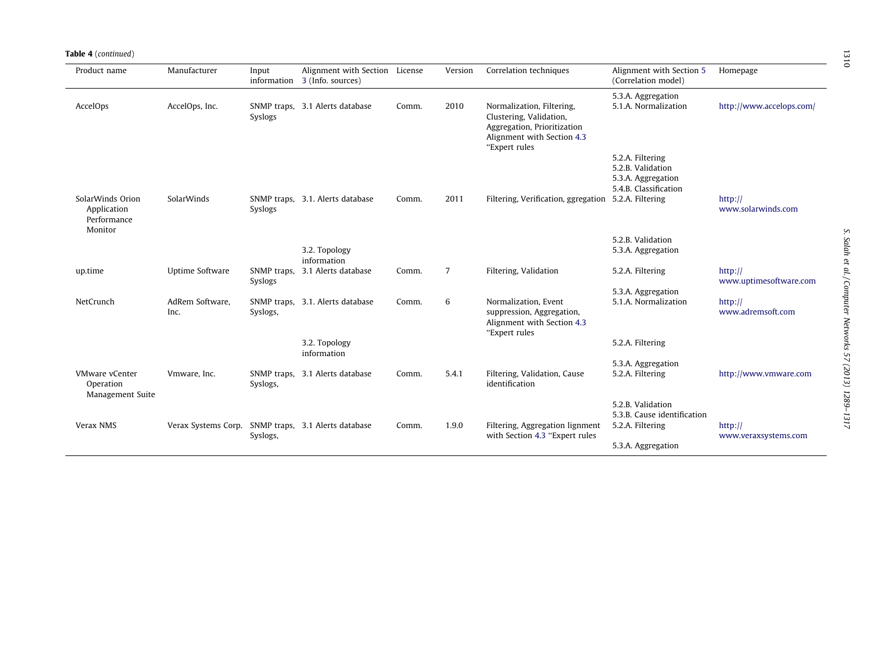|  | <b>Table 4</b> (continued) |
|--|----------------------------|
|--|----------------------------|

| Product name                                           | Manufacturer            | Input<br>information   | Alignment with Section License<br>3 (Info. sources) |       | Version        | Correlation techniques                                                                                                             | Alignment with Section 5<br>(Correlation model)                                      | Homepage                          |
|--------------------------------------------------------|-------------------------|------------------------|-----------------------------------------------------|-------|----------------|------------------------------------------------------------------------------------------------------------------------------------|--------------------------------------------------------------------------------------|-----------------------------------|
| AccelOps                                               | AccelOps, Inc.          | Syslogs                | SNMP traps, 3.1 Alerts database                     | Comm. | 2010           | Normalization, Filtering,<br>Clustering, Validation,<br>Aggregation, Prioritization<br>Alignment with Section 4.3<br>"Expert rules | 5.3.A. Aggregation<br>5.1.A. Normalization                                           | http://www.accelops.com/          |
| SolarWinds Orion<br>Application<br>Performance         | SolarWinds              | Syslogs                | SNMP traps, 3.1. Alerts database                    | Comm. | 2011           | Filtering, Verification, ggregation 5.2.A. Filtering                                                                               | 5.2.A. Filtering<br>5.2.B. Validation<br>5.3.A. Aggregation<br>5.4.B. Classification | http://<br>www.solarwinds.com     |
| Monitor                                                |                         |                        | 3.2. Topology<br>information                        |       |                |                                                                                                                                    | 5.2.B. Validation<br>5.3.A. Aggregation                                              |                                   |
| up.time                                                | Uptime Software         | SNMP traps,<br>Syslogs | 3.1 Alerts database                                 | Comm. | $\overline{7}$ | Filtering, Validation                                                                                                              | 5.2.A. Filtering                                                                     | http://<br>www.uptimesoftware.com |
| NetCrunch                                              | AdRem Software,<br>Inc. | Syslogs,               | SNMP traps, 3.1. Alerts database                    | Comm. | 6              | Normalization, Event<br>suppression, Aggregation,<br>Alignment with Section 4.3<br>"Expert rules                                   | 5.3.A. Aggregation<br>5.1.A. Normalization                                           | http://<br>www.adremsoft.com      |
|                                                        |                         |                        | 3.2. Topology<br>information                        |       |                |                                                                                                                                    | 5.2.A. Filtering                                                                     |                                   |
| <b>VMware</b> vCenter<br>Operation<br>Management Suite | Vmware, Inc.            | Syslogs,               | SNMP traps, 3.1 Alerts database                     | Comm. | 5.4.1          | Filtering, Validation, Cause<br>identification                                                                                     | 5.3.A. Aggregation<br>5.2.A. Filtering                                               | http://www.vmware.com             |
| <b>Verax NMS</b>                                       | Verax Systems Corp.     |                        | SNMP traps, 3.1 Alerts database                     | Comm. | 1.9.0          | Filtering, Aggregation lignment                                                                                                    | 5.2.B. Validation<br>5.3.B. Cause identification<br>5.2.A. Filtering                 | http://                           |
|                                                        |                         | Syslogs,               |                                                     |       |                | with Section 4.3 "Expert rules                                                                                                     | 5.3.A. Aggregation                                                                   | www.veraxsystems.com              |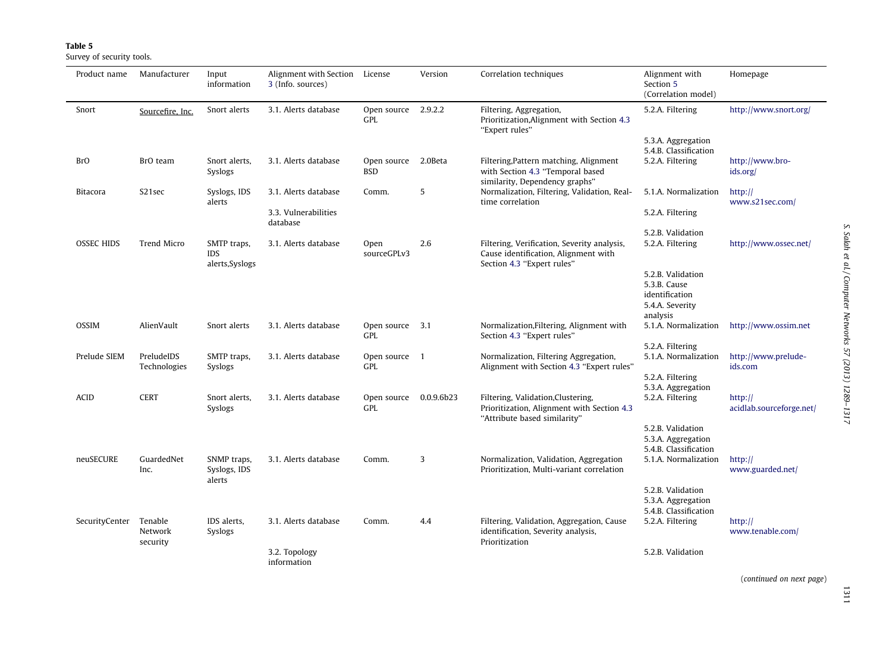<span id="page-22-0"></span>Table 5

Survey of security tools.

| Product name      | Manufacturer                   | Input<br>information                  | Alignment with Section<br>3 (Info. sources) | License                       | Version | Correlation techniques                                                                                            | Alignment with<br>Section 5<br>(Correlation model) | Homepage                            |
|-------------------|--------------------------------|---------------------------------------|---------------------------------------------|-------------------------------|---------|-------------------------------------------------------------------------------------------------------------------|----------------------------------------------------|-------------------------------------|
| Snort             | Sourcefire, Inc.               | Snort alerts                          | 3.1. Alerts database                        | Open source 2.9.2.2<br>GPL    |         | Filtering, Aggregation,<br>Prioritization, Alignment with Section 4.3<br>"Expert rules"                           | 5.2.A. Filtering                                   | http://www.snort.org/               |
|                   |                                |                                       |                                             |                               |         |                                                                                                                   | 5.3.A. Aggregation<br>5.4.B. Classification        |                                     |
| <b>BrO</b>        | BrO team                       | Snort alerts.<br>Syslogs              | 3.1. Alerts database                        | Open source<br><b>BSD</b>     | 2.0Beta | Filtering, Pattern matching, Alignment<br>with Section 4.3 "Temporal based<br>similarity, Dependency graphs"      | 5.2.A. Filtering                                   | http://www.bro-<br>ids.org/         |
| Bitacora          | S21sec                         | Syslogs, IDS<br>alerts                | 3.1. Alerts database                        | Comm.                         | 5       | Normalization, Filtering, Validation, Real-<br>time correlation                                                   | 5.1.A. Normalization                               | http://<br>www.s21sec.com/          |
|                   |                                |                                       | 3.3. Vulnerabilities<br>database            |                               |         |                                                                                                                   | 5.2.A. Filtering                                   |                                     |
|                   |                                |                                       |                                             |                               |         |                                                                                                                   | 5.2.B. Validation                                  |                                     |
| <b>OSSEC HIDS</b> | <b>Trend Micro</b>             | SMTP traps,<br>IDS<br>alerts, Syslogs | 3.1. Alerts database                        | Open<br>sourceGPLv3           | 2.6     | Filtering, Verification, Severity analysis,<br>Cause identification, Alignment with<br>Section 4.3 "Expert rules" | 5.2.A. Filtering                                   | http://www.ossec.net/               |
|                   |                                |                                       |                                             |                               |         |                                                                                                                   | 5.2.B. Validation                                  |                                     |
|                   |                                |                                       |                                             |                               |         |                                                                                                                   | 5.3.B. Cause                                       |                                     |
|                   |                                |                                       |                                             |                               |         |                                                                                                                   | identification<br>5.4.A. Severity                  |                                     |
|                   |                                |                                       |                                             |                               |         |                                                                                                                   | analysis                                           |                                     |
| <b>OSSIM</b>      | AlienVault                     | Snort alerts                          | 3.1. Alerts database                        | Open source 3.1<br>GPL        |         | Normalization, Filtering, Alignment with<br>Section 4.3 "Expert rules"                                            | 5.1.A. Normalization                               | http://www.ossim.net                |
|                   |                                |                                       |                                             |                               |         |                                                                                                                   | 5.2.A. Filtering                                   |                                     |
| Prelude SIEM      | PreludeIDS<br>Technologies     | SMTP traps,<br>Syslogs                | 3.1. Alerts database                        | Open source 1<br><b>GPL</b>   |         | Normalization, Filtering Aggregation,<br>Alignment with Section 4.3 "Expert rules"                                | 5.1.A. Normalization                               | http://www.prelude-<br>ids.com      |
|                   |                                |                                       |                                             |                               |         |                                                                                                                   | 5.2.A. Filtering                                   |                                     |
|                   |                                |                                       |                                             |                               |         |                                                                                                                   | 5.3.A. Aggregation                                 |                                     |
| <b>ACID</b>       | <b>CERT</b>                    | Snort alerts,<br>Syslogs              | 3.1. Alerts database                        | Open source 0.0.9.6b23<br>GPL |         | Filtering, Validation, Clustering,<br>Prioritization, Alignment with Section 4.3<br>"Attribute based similarity"  | 5.2.A. Filtering                                   | http://<br>acidlab.sourceforge.net/ |
|                   |                                |                                       |                                             |                               |         |                                                                                                                   | 5.2.B. Validation                                  |                                     |
|                   |                                |                                       |                                             |                               |         |                                                                                                                   | 5.3.A. Aggregation                                 |                                     |
|                   |                                |                                       |                                             |                               |         |                                                                                                                   | 5.4.B. Classification                              |                                     |
| neuSECURE         | GuardedNet<br>Inc.             | SNMP traps,<br>Syslogs, IDS<br>alerts | 3.1. Alerts database                        | Comm.                         | 3       | Normalization, Validation, Aggregation<br>Prioritization. Multi-variant correlation                               | 5.1.A. Normalization                               | http://<br>www.guarded.net/         |
|                   |                                |                                       |                                             |                               |         |                                                                                                                   | 5.2.B. Validation                                  |                                     |
|                   |                                |                                       |                                             |                               |         |                                                                                                                   | 5.3.A. Aggregation                                 |                                     |
|                   |                                |                                       |                                             |                               |         |                                                                                                                   | 5.4.B. Classification                              |                                     |
| SecurityCenter    | Tenable<br>Network<br>security | IDS alerts,<br>Syslogs                | 3.1. Alerts database                        | Comm.                         | 4.4     | Filtering, Validation, Aggregation, Cause<br>identification, Severity analysis,<br>Prioritization                 | 5.2.A. Filtering                                   | http://<br>www.tenable.com/         |
|                   |                                |                                       | 3.2. Topology<br>information                |                               |         |                                                                                                                   | 5.2.B. Validation                                  |                                     |

(continued on next page)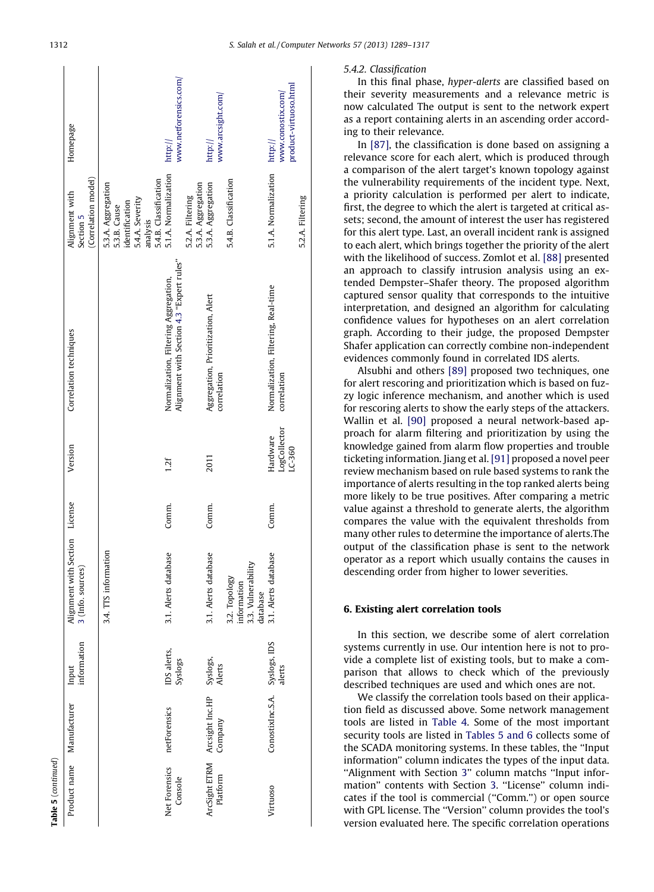| Homepage                                            |                                                                                                              | www.netforensics.com/<br>http://                                                   | www.arcsight.com/<br>http://                                      |                                                                                        | product-virtuoso.html<br>www.conostix.com/<br>http:// |                  |
|-----------------------------------------------------|--------------------------------------------------------------------------------------------------------------|------------------------------------------------------------------------------------|-------------------------------------------------------------------|----------------------------------------------------------------------------------------|-------------------------------------------------------|------------------|
| (Correlation model)<br>Alignment with<br>Section 5  | analysis<br>5.4.B. Classification<br>5.3.A. Aggregation<br>5.4.A. Severity<br>identification<br>5.3.B. Cause | 5.1.A. Normalization<br>5.2.A. Filtering                                           | 5.4.B. Classification<br>5.3.A. Aggregation<br>5.3.A. Aggregation |                                                                                        | 5.1.A. Normalization                                  | 5.2.A. Filtering |
| Correlation techniques                              |                                                                                                              | Alignment with Section 4.3 "Expert rules"<br>Normalization, Filtering Aggregation, | Aggregation, Prioritization, Alert<br>correlation                 |                                                                                        | Normalization, Filtering, Real-time<br>correlation    |                  |
| Version                                             |                                                                                                              | 12f                                                                                | 2011                                                              |                                                                                        | LogCollector<br>Hardware<br>LC-360                    |                  |
|                                                     |                                                                                                              | Comm.                                                                              | Comm.                                                             |                                                                                        | Comm.                                                 |                  |
| Alignment with Section License<br>3 (Info. sources) | TTS information<br>34.                                                                                       | Alerts database<br>$\frac{1}{2}$                                                   | Alerts database<br>$\frac{1}{2}$                                  | 3.2. Topology<br>information<br>3.3. Vulnerability<br>database<br>3.1. Alerts database |                                                       |                  |
| information<br>Input                                |                                                                                                              | IDS alerts,<br>Syslogs                                                             | Syslogs,<br>Alerts                                                |                                                                                        | alerts                                                |                  |
|                                                     |                                                                                                              |                                                                                    | ArcSight ETRM Arcsight Inc.HP<br>Company                          |                                                                                        | ConostixInc.S.A. Syslogs, IDS                         |                  |
| Product name Manufacturer                           |                                                                                                              | Net Forensics netForensics<br>Console                                              | Platform                                                          |                                                                                        | Virtuoso                                              |                  |

#### 5.4.2. Classification

In this final phase, hyper-alerts are classified based on their severity measurements and a relevance metric is now calculated The output is sent to the network expert as a report containing alerts in an ascending order according to their relevance.

In [\[87\],](#page-28-0) the classification is done based on assigning a relevance score for each alert, which is produced through a comparison of the alert target's known topology against the vulnerability requirements of the incident type. Next, a priority calculation is performed per alert to indicate, first, the degree to which the alert is targeted at critical assets; second, the amount of interest the user has registered for this alert type. Last, an overall incident rank is assigned to each alert, which brings together the priority of the alert with the likelihood of success. Zomlot et al. [\[88\]](#page-28-0) presented an approach to classify intrusion analysis using an extended Dempster–Shafer theory. The proposed algorithm captured sensor quality that corresponds to the intuitive interpretation, and designed an algorithm for calculating confidence values for hypotheses on an alert correlation graph. According to their judge, the proposed Dempster Shafer application can correctly combine non-independent evidences commonly found in correlated IDS alerts.

Alsubhi and others [\[89\]](#page-28-0) proposed two techniques, one for alert rescoring and prioritization which is based on fuzzy logic inference mechanism, and another which is used for rescoring alerts to show the early steps of the attackers. Wallin et al. [\[90\]](#page-28-0) proposed a neural network-based approach for alarm filtering and prioritization by using the knowledge gained from alarm flow properties and trouble ticketing information. Jiang et al. [\[91\]](#page-28-0) proposed a novel peer review mechanism based on rule based systems to rank the importance of alerts resulting in the top ranked alerts being more likely to be true positives. After comparing a metric value against a threshold to generate alerts, the algorithm compares the value with the equivalent thresholds from many other rules to determine the importance of alerts.The output of the classification phase is sent to the network operator as a report which usually contains the causes in descending order from higher to lower severities.

# 6. Existing alert correlation tools

In this section, we describe some of alert correlation systems currently in use. Our intention here is not to provide a complete list of existing tools, but to make a comparison that allows to check which of the previously described techniques are used and which ones are not.

We classify the correlation tools based on their application field as discussed above. Some network management tools are listed in [Table 4.](#page-20-0) Some of the most important security tools are listed in [Tables 5 and 6](#page-22-0) collects some of the SCADA monitoring systems. In these tables, the ''Input information'' column indicates the types of the input data. ''Alignment with Section 3'' column matchs ''Input information'' contents with Section 3. ''License'' column indicates if the tool is commercial (''Comm.'') or open source with GPL license. The ''Version'' column provides the tool's version evaluated here. The specific correlation operations

Table 5 (continued)

(continued)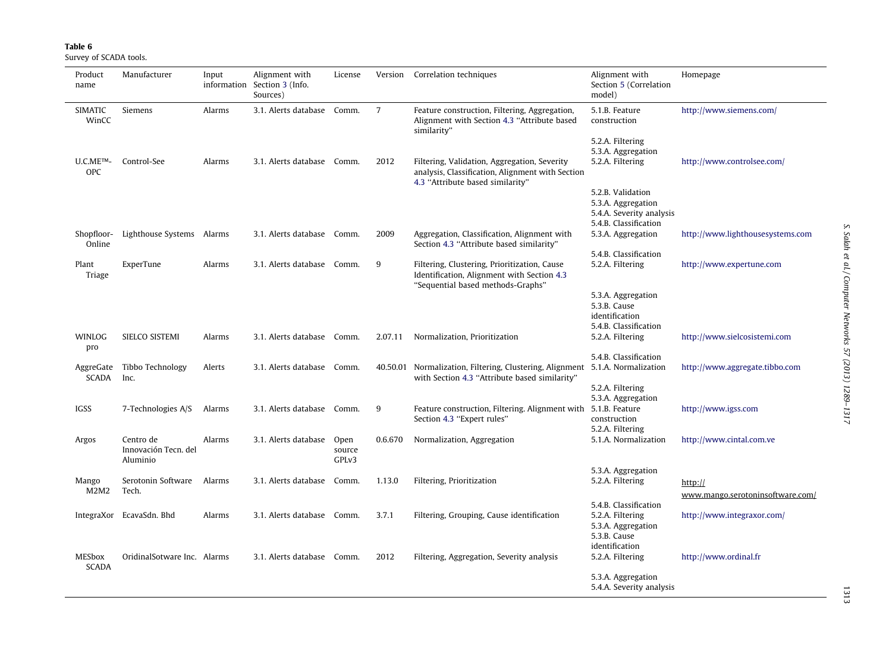<span id="page-24-0"></span>Table 6

Survey of SCADA tools.

| Product<br>name               | Manufacturer                      | Input  | Alignment with<br>information Section 3 (Info.<br>Sources) | License        | Version        | Correlation techniques                                                                                                               | Alignment with<br>Section 5 (Correlation<br>model) | Homepage                         |
|-------------------------------|-----------------------------------|--------|------------------------------------------------------------|----------------|----------------|--------------------------------------------------------------------------------------------------------------------------------------|----------------------------------------------------|----------------------------------|
| <b>SIMATIC</b><br>WinCC       | Siemens                           | Alarms | 3.1. Alerts database                                       | Comm.          | $\overline{7}$ | Feature construction, Filtering, Aggregation,<br>Alignment with Section 4.3 "Attribute based<br>similarity"                          | 5.1.B. Feature<br>construction                     | http://www.siemens.com/          |
|                               |                                   |        |                                                            |                |                |                                                                                                                                      | 5.2.A. Filtering<br>5.3.A. Aggregation             |                                  |
| $U.C.ME^{TM}$ -<br>OPC        | Control-See                       | Alarms | 3.1. Alerts database Comm.                                 |                | 2012           | Filtering, Validation, Aggregation, Severity<br>analysis, Classification, Alignment with Section<br>4.3 "Attribute based similarity" | 5.2.A. Filtering                                   | http://www.controlsee.com/       |
|                               |                                   |        |                                                            |                |                |                                                                                                                                      | 5.2.B. Validation<br>5.3.A. Aggregation            |                                  |
|                               |                                   |        |                                                            |                |                |                                                                                                                                      | 5.4.A. Severity analysis<br>5.4.B. Classification  |                                  |
| Shopfloor-<br>Online          | Lighthouse Systems Alarms         |        | 3.1. Alerts database Comm.                                 |                | 2009           | Aggregation, Classification, Alignment with<br>Section 4.3 "Attribute based similarity"                                              | 5.3.A. Aggregation                                 | http://www.lighthousesystems.com |
|                               |                                   |        |                                                            |                |                |                                                                                                                                      | 5.4.B. Classification                              |                                  |
| Plant<br>Triage               | <b>ExperTune</b>                  | Alarms | 3.1. Alerts database Comm.                                 |                | 9              | Filtering, Clustering, Prioritization, Cause<br>Identification, Alignment with Section 4.3<br>"Sequential based methods-Graphs"      | 5.2.A. Filtering                                   | http://www.expertune.com         |
|                               |                                   |        |                                                            |                |                |                                                                                                                                      | 5.3.A. Aggregation                                 |                                  |
|                               |                                   |        |                                                            |                |                |                                                                                                                                      | 5.3.B. Cause<br>identification                     |                                  |
|                               |                                   |        |                                                            |                |                |                                                                                                                                      | 5.4.B. Classification                              |                                  |
| WINLOG<br>pro                 | SIELCO SISTEMI                    | Alarms | 3.1. Alerts database                                       | Comm.          | 2.07.11        | Normalization, Prioritization                                                                                                        | 5.2.A. Filtering                                   | http://www.sielcosistemi.com     |
|                               |                                   |        |                                                            |                |                |                                                                                                                                      | 5.4.B. Classification                              |                                  |
| AggreGate<br><b>SCADA</b>     | Tibbo Technology<br>Inc.          | Alerts | 3.1. Alerts database                                       | Comm.          |                | 40.50.01 Normalization, Filtering, Clustering, Alignment 5.1.A. Normalization<br>with Section 4.3 "Attribute based similarity"       |                                                    | http://www.aggregate.tibbo.com   |
|                               |                                   |        |                                                            |                |                |                                                                                                                                      | 5.2.A. Filtering<br>5.3.A. Aggregation             |                                  |
| IGSS                          | 7-Technologies A/S                | Alarms | 3.1. Alerts database Comm.                                 |                | 9              | Feature construction, Filtering. Alignment with                                                                                      | 5.1.B. Feature                                     | http://www.igss.com              |
|                               |                                   |        |                                                            |                |                | Section 4.3 "Expert rules"                                                                                                           | construction<br>5.2.A. Filtering                   |                                  |
| Argos                         | Centro de<br>Innovación Tecn. del | Alarms | 3.1. Alerts database                                       | Open<br>source | 0.6.670        | Normalization, Aggregation                                                                                                           | 5.1.A. Normalization                               | http://www.cintal.com.ve         |
|                               | Aluminio                          |        |                                                            | GPLv3          |                |                                                                                                                                      | 5.3.A. Aggregation                                 |                                  |
| Mango                         | Serotonin Software                | Alarms | 3.1. Alerts database                                       | Comm.          | 1.13.0         | Filtering, Prioritization                                                                                                            | 5.2.A. Filtering                                   | http://                          |
| M2M2                          | Tech.                             |        |                                                            |                |                |                                                                                                                                      |                                                    | www.mango.serotoninsoftware.com/ |
|                               | IntegraXor EcavaSdn. Bhd          | Alarms | 3.1. Alerts database Comm.                                 |                | 3.7.1          | Filtering, Grouping, Cause identification                                                                                            | 5.4.B. Classification<br>5.2.A. Filtering          | http://www.integraxor.com/       |
|                               |                                   |        |                                                            |                |                |                                                                                                                                      | 5.3.A. Aggregation                                 |                                  |
|                               |                                   |        |                                                            |                |                |                                                                                                                                      | 5.3.B. Cause<br>identification                     |                                  |
| <b>MESbox</b><br><b>SCADA</b> | OridinalSotware Inc. Alarms       |        | 3.1. Alerts database Comm.                                 |                | 2012           | Filtering, Aggregation, Severity analysis                                                                                            | 5.2.A. Filtering                                   | http://www.ordinal.fr            |
|                               |                                   |        |                                                            |                |                |                                                                                                                                      | 5.3.A. Aggregation<br>5.4.A. Severity analysis     |                                  |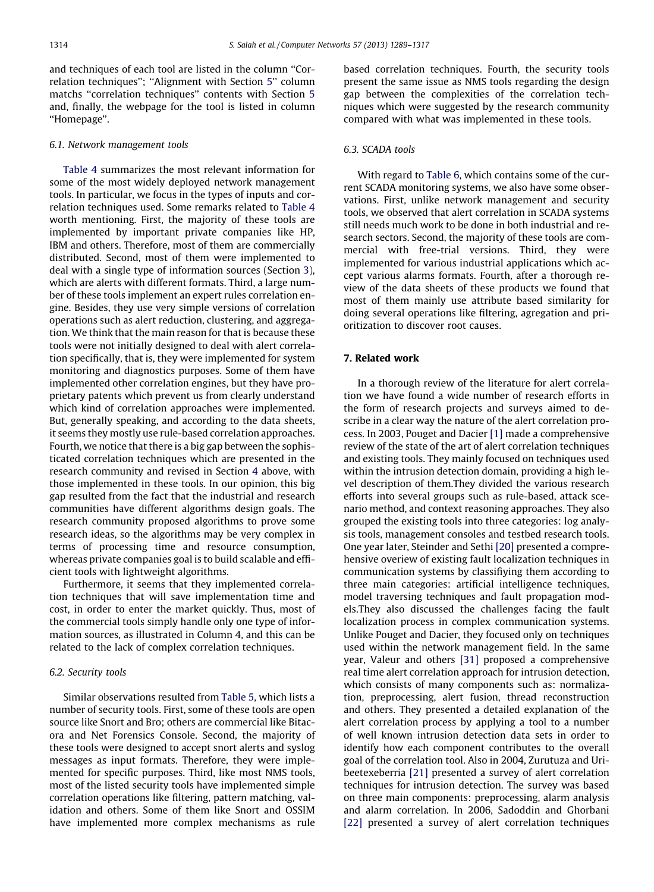and techniques of each tool are listed in the column ''Correlation techniques"; "Alignment with Section 5" column matchs ''correlation techniques'' contents with Section 5 and, finally, the webpage for the tool is listed in column ''Homepage''.

#### 6.1. Network management tools

[Table 4](#page-20-0) summarizes the most relevant information for some of the most widely deployed network management tools. In particular, we focus in the types of inputs and correlation techniques used. Some remarks related to [Table 4](#page-20-0) worth mentioning. First, the majority of these tools are implemented by important private companies like HP, IBM and others. Therefore, most of them are commercially distributed. Second, most of them were implemented to deal with a single type of information sources (Section 3), which are alerts with different formats. Third, a large number of these tools implement an expert rules correlation engine. Besides, they use very simple versions of correlation operations such as alert reduction, clustering, and aggregation. We think that the main reason for that is because these tools were not initially designed to deal with alert correlation specifically, that is, they were implemented for system monitoring and diagnostics purposes. Some of them have implemented other correlation engines, but they have proprietary patents which prevent us from clearly understand which kind of correlation approaches were implemented. But, generally speaking, and according to the data sheets, it seems they mostly use rule-based correlation approaches. Fourth, we notice that there is a big gap between the sophisticated correlation techniques which are presented in the research community and revised in Section 4 above, with those implemented in these tools. In our opinion, this big gap resulted from the fact that the industrial and research communities have different algorithms design goals. The research community proposed algorithms to prove some research ideas, so the algorithms may be very complex in terms of processing time and resource consumption, whereas private companies goal is to build scalable and efficient tools with lightweight algorithms.

Furthermore, it seems that they implemented correlation techniques that will save implementation time and cost, in order to enter the market quickly. Thus, most of the commercial tools simply handle only one type of information sources, as illustrated in Column 4, and this can be related to the lack of complex correlation techniques.

#### 6.2. Security tools

Similar observations resulted from [Table 5,](#page-22-0) which lists a number of security tools. First, some of these tools are open source like Snort and Bro; others are commercial like Bitacora and Net Forensics Console. Second, the majority of these tools were designed to accept snort alerts and syslog messages as input formats. Therefore, they were implemented for specific purposes. Third, like most NMS tools, most of the listed security tools have implemented simple correlation operations like filtering, pattern matching, validation and others. Some of them like Snort and OSSIM have implemented more complex mechanisms as rule

based correlation techniques. Fourth, the security tools present the same issue as NMS tools regarding the design gap between the complexities of the correlation techniques which were suggested by the research community compared with what was implemented in these tools.

#### 6.3. SCADA tools

With regard to [Table 6,](#page-24-0) which contains some of the current SCADA monitoring systems, we also have some observations. First, unlike network management and security tools, we observed that alert correlation in SCADA systems still needs much work to be done in both industrial and research sectors. Second, the majority of these tools are commercial with free-trial versions. Third, they were implemented for various industrial applications which accept various alarms formats. Fourth, after a thorough review of the data sheets of these products we found that most of them mainly use attribute based similarity for doing several operations like filtering, agregation and prioritization to discover root causes.

### 7. Related work

In a thorough review of the literature for alert correlation we have found a wide number of research efforts in the form of research projects and surveys aimed to describe in a clear way the nature of the alert correlation process. In 2003, Pouget and Dacier [\[1\]](#page-26-0) made a comprehensive review of the state of the art of alert correlation techniques and existing tools. They mainly focused on techniques used within the intrusion detection domain, providing a high level description of them.They divided the various research efforts into several groups such as rule-based, attack scenario method, and context reasoning approaches. They also grouped the existing tools into three categories: log analysis tools, management consoles and testbed research tools. One year later, Steinder and Sethi [\[20\]](#page-27-0) presented a comprehensive overiew of existing fault localization techniques in communication systems by classifiying them according to three main categories: artificial intelligence techniques, model traversing techniques and fault propagation models.They also discussed the challenges facing the fault localization process in complex communication systems. Unlike Pouget and Dacier, they focused only on techniques used within the network management field. In the same year, Valeur and others [\[31\]](#page-27-0) proposed a comprehensive real time alert correlation approach for intrusion detection, which consists of many components such as: normalization, preprocessing, alert fusion, thread reconstruction and others. They presented a detailed explanation of the alert correlation process by applying a tool to a number of well known intrusion detection data sets in order to identify how each component contributes to the overall goal of the correlation tool. Also in 2004, Zurutuza and Uribeetexeberria [\[21\]](#page-27-0) presented a survey of alert correlation techniques for intrusion detection. The survey was based on three main components: preprocessing, alarm analysis and alarm correlation. In 2006, Sadoddin and Ghorbani [\[22\]](#page-27-0) presented a survey of alert correlation techniques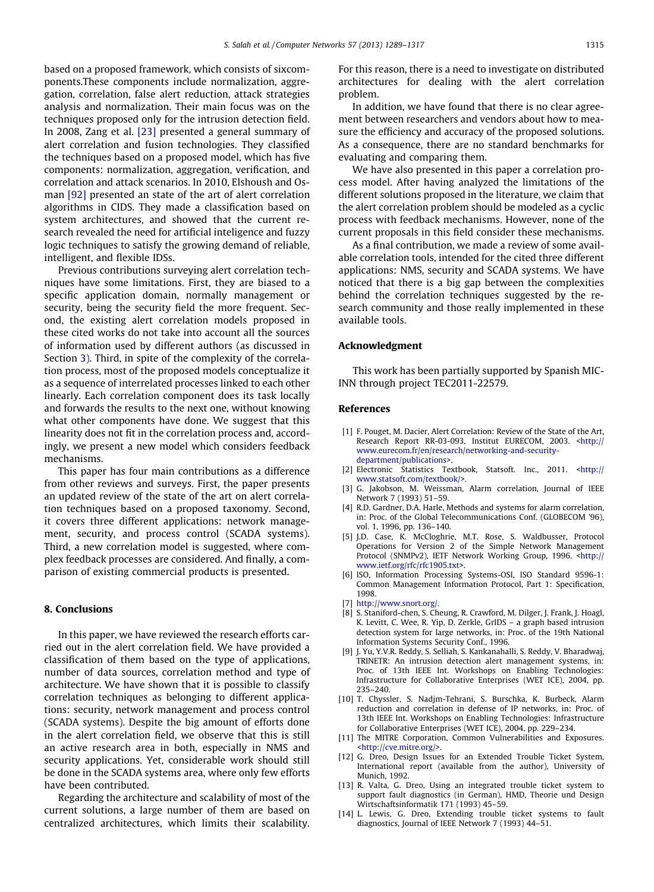<span id="page-26-0"></span>based on a proposed framework, which consists of sixcomponents.These components include normalization, aggregation, correlation, false alert reduction, attack strategies analysis and normalization. Their main focus was on the techniques proposed only for the intrusion detection field. In 2008, Zang et al. [\[23\]](#page-27-0) presented a general summary of alert correlation and fusion technologies. They classified the techniques based on a proposed model, which has five components: normalization, aggregation, verification, and correlation and attack scenarios. In 2010, Elshoush and Osman [\[92\]](#page-28-0) presented an state of the art of alert correlation algorithms in CIDS. They made a classification based on system architectures, and showed that the current research revealed the need for artificial inteligence and fuzzy logic techniques to satisfy the growing demand of reliable, intelligent, and flexible IDSs.

Previous contributions surveying alert correlation techniques have some limitations. First, they are biased to a specific application domain, normally management or security, being the security field the more frequent. Second, the existing alert correlation models proposed in these cited works do not take into account all the sources of information used by different authors (as discussed in Section 3). Third, in spite of the complexity of the correlation process, most of the proposed models conceptualize it as a sequence of interrelated processes linked to each other linearly. Each correlation component does its task locally and forwards the results to the next one, without knowing what other components have done. We suggest that this linearity does not fit in the correlation process and, accordingly, we present a new model which considers feedback mechanisms.

This paper has four main contributions as a difference from other reviews and surveys. First, the paper presents an updated review of the state of the art on alert correlation techniques based on a proposed taxonomy. Second, it covers three different applications: network management, security, and process control (SCADA systems). Third, a new correlation model is suggested, where complex feedback processes are considered. And finally, a comparison of existing commercial products is presented.

#### 8. Conclusions

In this paper, we have reviewed the research efforts carried out in the alert correlation field. We have provided a classification of them based on the type of applications, number of data sources, correlation method and type of architecture. We have shown that it is possible to classify correlation techniques as belonging to different applications: security, network management and process control (SCADA systems). Despite the big amount of efforts done in the alert correlation field, we observe that this is still an active research area in both, especially in NMS and security applications. Yet, considerable work should still be done in the SCADA systems area, where only few efforts have been contributed.

Regarding the architecture and scalability of most of the current solutions, a large number of them are based on centralized architectures, which limits their scalability.

For this reason, there is a need to investigate on distributed architectures for dealing with the alert correlation problem.

In addition, we have found that there is no clear agreement between researchers and vendors about how to measure the efficiency and accuracy of the proposed solutions. As a consequence, there are no standard benchmarks for evaluating and comparing them.

We have also presented in this paper a correlation process model. After having analyzed the limitations of the different solutions proposed in the literature, we claim that the alert correlation problem should be modeled as a cyclic process with feedback mechanisms. However, none of the current proposals in this field consider these mechanisms.

As a final contribution, we made a review of some available correlation tools, intended for the cited three different applications: NMS, security and SCADA systems. We have noticed that there is a big gap between the complexities behind the correlation techniques suggested by the research community and those really implemented in these available tools.

#### Acknowledgment

This work has been partially supported by Spanish MIC-INN through project TEC2011-22579.

#### References

- [1] F. Pouget, M. Dacier, Alert Correlation: Review of the State of the Art, Research Report RR-03-093, Institut EURECOM, 2003. [<http://](http://www.eurecom.fr/en/research/networking-and-security-department/publications) [www.eurecom.fr/en/research/networking-and-security](http://www.eurecom.fr/en/research/networking-and-security-department/publications)[department/publications>](http://www.eurecom.fr/en/research/networking-and-security-department/publications).
- [2] Electronic Statistics Textbook, Statsoft. Inc., 2011. [<http://](http://www.statsoft.com/textbook/) [www.statsoft.com/textbook/](http://www.statsoft.com/textbook/)>.
- G. Jakobson, M. Weissman, Alarm correlation, Journal of IEEE Network 7 (1993) 51–59.
- [4] R.D. Gardner, D.A. Harle, Methods and systems for alarm correlation, in: Proc. of the Global Telecommunications Conf. (GLOBECOM '96), vol. 1, 1996, pp. 136–140.
- [5] J.D. Case, K. McCloghrie, M.T. Rose, S. Waldbusser, Protocol Operations for Version 2 of the Simple Network Management Protocol (SNMPv2), IETF Network Working Group, 1996. [<http://](http://www.ietf.org/rfc/rfc1905.txt) [www.ietf.org/rfc/rfc1905.txt>](http://www.ietf.org/rfc/rfc1905.txt).
- [6] ISO, Information Processing Systems-OSI, ISO Standard 9596-1: Common Management Information Protocol, Part 1: Specification, 1998.
- [7] <http://www.snort.org/>.
- [8] S. Staniford-chen, S. Cheung, R. Crawford, M. Dilger, J. Frank, J. Hoagl, K. Levitt, C. Wee, R. Yip, D. Zerkle, GrIDS – a graph based intrusion detection system for large networks, in: Proc. of the 19th National Information Systems Security Conf., 1996.
- [9] J. Yu, Y.V.R. Reddy, S. Selliah, S. Kankanahalli, S. Reddy, V. Bharadwaj, TRINETR: An intrusion detection alert management systems, in: Proc. of 13th IEEE Int. Workshops on Enabling Technologies: Infrastructure for Collaborative Enterprises (WET ICE), 2004, pp. 235–240.
- [10] T. Chyssler, S. Nadjm-Tehrani, S. Burschka, K. Burbeck, Alarm reduction and correlation in defense of IP networks, in: Proc. of 13th IEEE Int. Workshops on Enabling Technologies: Infrastructure for Collaborative Enterprises (WET ICE), 2004, pp. 229–234.
- [11] The MITRE Corporation, Common Vulnerabilities and Exposures. [<http://cve.mitre.org/>](http://cve.mitre.org/).
- [12] G. Dreo, Design Issues for an Extended Trouble Ticket System, International report (available from the author), University of Munich, 1992.
- [13] R. Valta, G. Dreo, Using an integrated trouble ticket system to support fault diagnostics (in German), HMD, Theorie und Design Wirtschaftsinformatik 171 (1993) 45–59.
- [14] L. Lewis, G. Dreo, Extending trouble ticket systems to fault diagnostics, Journal of IEEE Network 7 (1993) 44–51.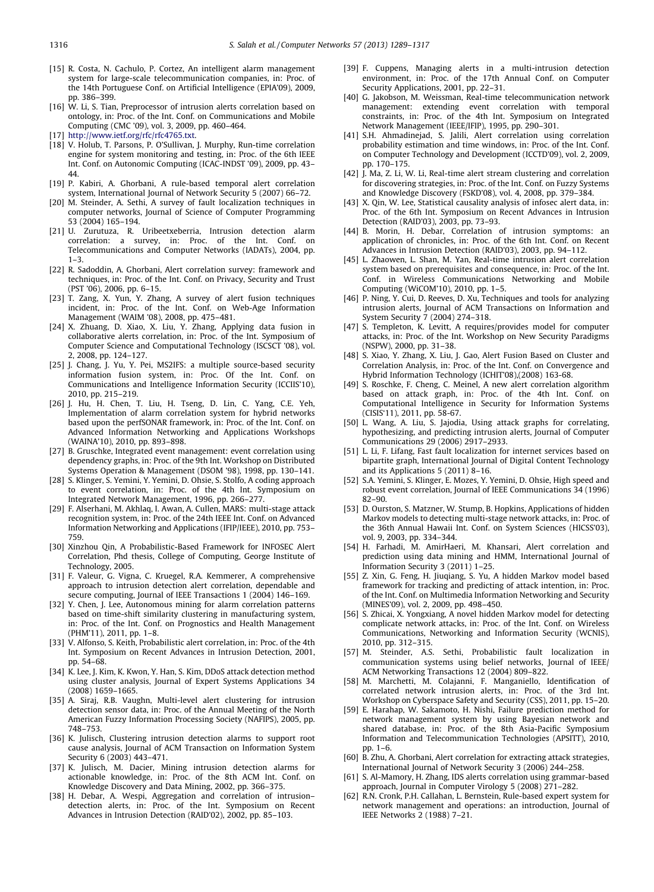- <span id="page-27-0"></span>[15] R. Costa, N. Cachulo, P. Cortez, An intelligent alarm management system for large-scale telecommunication companies, in: Proc. of the 14th Portuguese Conf. on Artificial Intelligence (EPIA'09), 2009, pp. 386–399.
- [16] W. Li, S. Tian, Preprocessor of intrusion alerts correlation based on ontology, in: Proc. of the Int. Conf. on Communications and Mobile Computing (CMC '09), vol. 3, 2009, pp. 460–464.
- [17] <http://www.ietf.org/rfc/rfc4765.txt>.
- [18] V. Holub, T. Parsons, P. O'Sullivan, J. Murphy, Run-time correlation engine for system monitoring and testing, in: Proc. of the 6th IEEE Int. Conf. on Autonomic Computing (ICAC-INDST '09), 2009, pp. 43– 44.
- [19] P. Kabiri, A. Ghorbani, A rule-based temporal alert correlation system, International Journal of Network Security 5 (2007) 66–72.
- [20] M. Steinder, A. Sethi, A survey of fault localization techniques in computer networks, Journal of Science of Computer Programming 53 (2004) 165–194.
- [21] U. Zurutuza, R. Uribeetxeberria, Intrusion detection alarm correlation: a survey, in: Proc. of the Int. Conf. on Telecommunications and Computer Networks (IADATs), 2004, pp. 1–3.
- [22] R. Sadoddin, A. Ghorbani, Alert correlation survey: framework and techniques, in: Proc. of the Int. Conf. on Privacy, Security and Trust (PST '06), 2006, pp. 6–15.
- [23] T. Zang, X. Yun, Y. Zhang, A survey of alert fusion techniques incident, in: Proc. of the Int. Conf. on Web-Age Information Management (WAIM '08), 2008, pp. 475–481.
- [24] X. Zhuang, D. Xiao, X. Liu, Y. Zhang, Applying data fusion in collaborative alerts correlation, in: Proc. of the Int. Symposium of Computer Science and Computational Technology (ISCSCT '08), vol. 2, 2008, pp. 124–127.
- [25] J. Chang, J. Yu, Y. Pei, MS2IFS: a multiple source-based security information fusion system, in: Proc. Of the Int. Conf. on Communications and Intelligence Information Security (ICCIIS'10), 2010, pp. 215–219.
- [26] J. Hu, H. Chen, T. Liu, H. Tseng, D. Lin, C. Yang, C.E. Yeh, Implementation of alarm correlation system for hybrid networks based upon the perfSONAR framework, in: Proc. of the Int. Conf. on Advanced Information Networking and Applications Workshops (WAINA'10), 2010, pp. 893–898.
- [27] B. Gruschke, Integrated event management: event correlation using dependency graphs, in: Proc. of the 9th Int. Workshop on Distributed Systems Operation & Management (DSOM '98), 1998, pp. 130–141.
- [28] S. Klinger, S. Yemini, Y. Yemini, D. Ohsie, S. Stolfo, A coding approach to event correlation, in: Proc. of the 4th Int. Symposium on Integrated Network Management, 1996, pp. 266–277.
- [29] F. Alserhani, M. Akhlaq, I. Awan, A. Cullen, MARS: multi-stage attack recognition system, in: Proc. of the 24th IEEE Int. Conf. on Advanced Information Networking and Applications (IFIP/IEEE), 2010, pp. 753– 759.
- [30] Xinzhou Qin, A Probabilistic-Based Framework for INFOSEC Alert Correlation, Phd thesis, College of Computing, George Institute of Technology, 2005.
- [31] F. Valeur, G. Vigna, C. Kruegel, R.A. Kemmerer, A comprehensive approach to intrusion detection alert correlation, dependable and secure computing, Journal of IEEE Transactions 1 (2004) 146–169.
- [32] Y. Chen, J. Lee, Autonomous mining for alarm correlation patterns based on time-shift similarity clustering in manufacturing system, in: Proc. of the Int. Conf. on Prognostics and Health Management (PHM'11), 2011, pp. 1–8.
- [33] V. Alfonso, S. Keith, Probabilistic alert correlation, in: Proc. of the 4th Int. Symposium on Recent Advances in Intrusion Detection, 2001, pp. 54–68.
- [34] K. Lee, J. Kim, K. Kwon, Y. Han, S. Kim, DDoS attack detection method using cluster analysis, Journal of Expert Systems Applications 34 (2008) 1659–1665.
- [35] A. Siraj, R.B. Vaughn, Multi-level alert clustering for intrusion detection sensor data, in: Proc. of the Annual Meeting of the North American Fuzzy Information Processing Society (NAFIPS), 2005, pp. 748–753.
- [36] K. Julisch, Clustering intrusion detection alarms to support root cause analysis, Journal of ACM Transaction on Information System Security 6 (2003) 443–471.
- [37] K. Julisch, M. Dacier, Mining intrusion detection alarms for actionable knowledge, in: Proc. of the 8th ACM Int. Conf. on Knowledge Discovery and Data Mining, 2002, pp. 366–375.
- [38] H. Debar, A. Wespi, Aggregation and correlation of intrusion– detection alerts, in: Proc. of the Int. Symposium on Recent Advances in Intrusion Detection (RAID'02), 2002, pp. 85–103.
- [39] F. Cuppens, Managing alerts in a multi-intrusion detection environment, in: Proc. of the 17th Annual Conf. on Computer Security Applications, 2001, pp. 22–31.
- [40] G. Jakobson, M. Weissman, Real-time telecommunication network management: extending event correlation with temporal constraints, in: Proc. of the 4th Int. Symposium on Integrated Network Management (IEEE/IFIP), 1995, pp. 290–301.
- [41] S.H. Ahmadinejad, S. Jalili, Alert correlation using correlation probability estimation and time windows, in: Proc. of the Int. Conf. on Computer Technology and Development (ICCTD'09), vol. 2, 2009, pp. 170–175.
- [42] J. Ma, Z. Li, W. Li, Real-time alert stream clustering and correlation for discovering strategies, in: Proc. of the Int. Conf. on Fuzzy Systems and Knowledge Discovery (FSKD'08), vol. 4, 2008, pp. 379–384.
- [43] X. Qin, W. Lee, Statistical causality analysis of infosec alert data, in: Proc. of the 6th Int. Symposium on Recent Advances in Intrusion Detection (RAID'03), 2003, pp. 73–93.
- [44] B. Morin, H. Debar, Correlation of intrusion symptoms: an application of chronicles, in: Proc. of the 6th Int. Conf. on Recent Advances in Intrusion Detection (RAID'03), 2003, pp. 94–112.
- [45] L. Zhaowen, L. Shan, M. Yan, Real-time intrusion alert correlation system based on prerequisites and consequence, in: Proc. of the Int. Conf. in Wireless Communications Networking and Mobile Computing (WiCOM'10), 2010, pp. 1–5.
- [46] P. Ning, Y. Cui, D. Reeves, D. Xu, Techniques and tools for analyzing intrusion alerts, Journal of ACM Transactions on Information and System Security 7 (2004) 274–318.
- [47] S. Templeton, K. Levitt, A requires/provides model for computer attacks, in: Proc. of the Int. Workshop on New Security Paradigms (NSPW), 2000, pp. 31–38.
- [48] S. Xiao, Y. Zhang, X. Liu, J. Gao, Alert Fusion Based on Cluster and Correlation Analysis, in: Proc. of the Int. Conf. on Convergence and Hybrid Information Technology (ICHIT'08),(2008) 163-68.
- [49] S. Roschke, F. Cheng, C. Meinel, A new alert correlation algorithm based on attack graph, in: Proc. of the 4th Int. Conf. on Computational Intelligence in Security for Information Systems (CISIS'11), 2011, pp. 58-67.
- [50] L. Wang, A. Liu, S. Jajodia, Using attack graphs for correlating, hypothesizing, and predicting intrusion alerts, Journal of Computer Communications 29 (2006) 2917–2933.
- [51] L. Li, F. Lifang, Fast fault localization for internet services based on bipartite graph, International Journal of Digital Content Technology and its Applications 5 (2011) 8–16.
- [52] S.A. Yemini, S. Klinger, E. Mozes, Y. Yemini, D. Ohsie, High speed and robust event correlation, Journal of IEEE Communications 34 (1996) 82–90.
- [53] D. Ourston, S. Matzner, W. Stump, B. Hopkins, Applications of hidden Markov models to detecting multi-stage network attacks, in: Proc. of the 36th Annual Hawaii Int. Conf. on System Sciences (HICSS'03), vol. 9, 2003, pp. 334–344.
- [54] H. Farhadi, M. AmirHaeri, M. Khansari, Alert correlation and prediction using data mining and HMM, International Journal of Information Security 3 (2011) 1–25.
- [55] Z. Xin, G. Feng, H. Jiuqiang, S. Yu, A hidden Markov model based framework for tracking and predicting of attack intention, in: Proc. of the Int. Conf. on Multimedia Information Networking and Security (MINES'09), vol. 2, 2009, pp. 498–450.
- [56] S. Zhicai, X. Yongxiang, A novel hidden Markov model for detecting complicate network attacks, in: Proc. of the Int. Conf. on Wireless Communications, Networking and Information Security (WCNIS), 2010, pp. 312–315.
- [57] M. Steinder, A.S. Sethi, Probabilistic fault localization in communication systems using belief networks, Journal of IEEE/ ACM Networking Transactions 12 (2004) 809–822.
- [58] M. Marchetti, M. Colajanni, F. Manganiello, Identification of correlated network intrusion alerts, in: Proc. of the 3rd Int. Workshop on Cyberspace Safety and Security (CSS), 2011, pp. 15–20.
- [59] E. Harahap, W. Sakamoto, H. Nishi, Failure prediction method for network management system by using Bayesian network and shared database, in: Proc. of the 8th Asia-Pacific Symposium Information and Telecommunication Technologies (APSITT), 2010, pp. 1–6.
- [60] B. Zhu, A. Ghorbani, Alert correlation for extracting attack strategies, International Journal of Network Security 3 (2006) 244–258.
- [61] S. Al-Mamory, H. Zhang, IDS alerts correlation using grammar-based approach, Journal in Computer Virology 5 (2008) 271–282.
- R.N. Cronk, P.H. Callahan, L. Bernstein, Rule-based expert system for network management and operations: an introduction, Journal of IEEE Networks 2 (1988) 7–21.